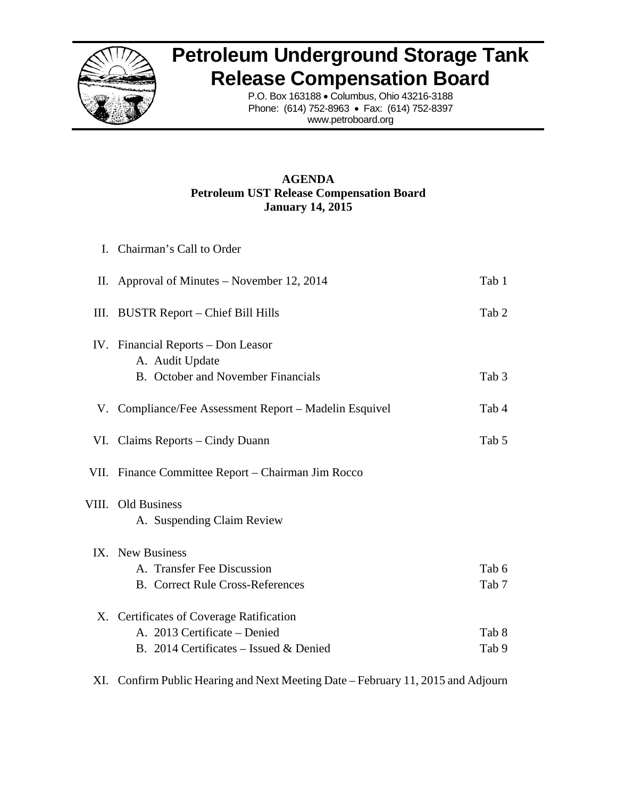

# **Petroleum Underground Storage Tank Release Compensation Board**

P.O. Box 163188 • Columbus, Ohio 43216-3188 Phone: (614) 752-8963 • Fax: (614) 752-8397 www.petroboard.org

# **AGENDA Petroleum UST Release Compensation Board January 14, 2015**

| I. Chairman's Call to Order                                                               |                  |
|-------------------------------------------------------------------------------------------|------------------|
| II. Approval of Minutes – November 12, 2014                                               | Tab 1            |
| III. BUSTR Report – Chief Bill Hills                                                      | Tab 2            |
| IV. Financial Reports – Don Leasor<br>A. Audit Update                                     |                  |
| B. October and November Financials                                                        | Tab <sub>3</sub> |
| V. Compliance/Fee Assessment Report - Madelin Esquivel                                    | Tab 4            |
| VI. Claims Reports – Cindy Duann                                                          | Tab 5            |
| VII. Finance Committee Report - Chairman Jim Rocco                                        |                  |
| VIII. Old Business<br>A. Suspending Claim Review                                          |                  |
| IX. New Business<br>A. Transfer Fee Discussion<br><b>B.</b> Correct Rule Cross-References | Tab 6<br>Tab 7   |
| X. Certificates of Coverage Ratification                                                  |                  |
| A. 2013 Certificate – Denied                                                              | Tab 8            |
| B. 2014 Certificates – Issued & Denied                                                    | Tab 9            |

XI. Confirm Public Hearing and Next Meeting Date – February 11, 2015 and Adjourn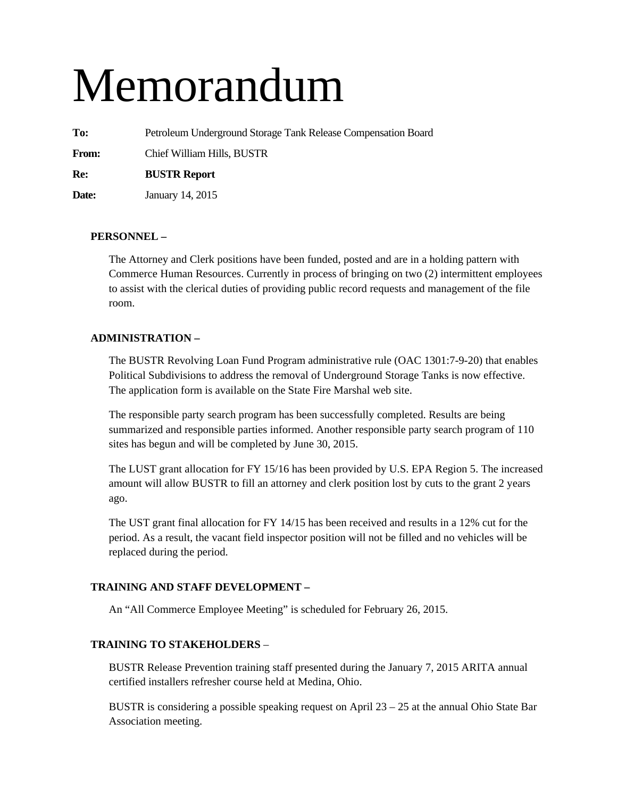# Memorandum

**To:** Petroleum Underground Storage Tank Release Compensation Board **From:** Chief William Hills, BUSTR **Re: BUSTR Report** 

**Date:** January 14, 2015

# **PERSONNEL –**

The Attorney and Clerk positions have been funded, posted and are in a holding pattern with Commerce Human Resources. Currently in process of bringing on two (2) intermittent employees to assist with the clerical duties of providing public record requests and management of the file room.

# **ADMINISTRATION –**

The BUSTR Revolving Loan Fund Program administrative rule (OAC 1301:7-9-20) that enables Political Subdivisions to address the removal of Underground Storage Tanks is now effective. The application form is available on the State Fire Marshal web site.

The responsible party search program has been successfully completed. Results are being summarized and responsible parties informed. Another responsible party search program of 110 sites has begun and will be completed by June 30, 2015.

The LUST grant allocation for FY 15/16 has been provided by U.S. EPA Region 5. The increased amount will allow BUSTR to fill an attorney and clerk position lost by cuts to the grant 2 years ago.

The UST grant final allocation for FY 14/15 has been received and results in a 12% cut for the period. As a result, the vacant field inspector position will not be filled and no vehicles will be replaced during the period.

# **TRAINING AND STAFF DEVELOPMENT –**

An "All Commerce Employee Meeting" is scheduled for February 26, 2015.

# **TRAINING TO STAKEHOLDERS** –

BUSTR Release Prevention training staff presented during the January 7, 2015 ARITA annual certified installers refresher course held at Medina, Ohio.

BUSTR is considering a possible speaking request on April 23 – 25 at the annual Ohio State Bar Association meeting.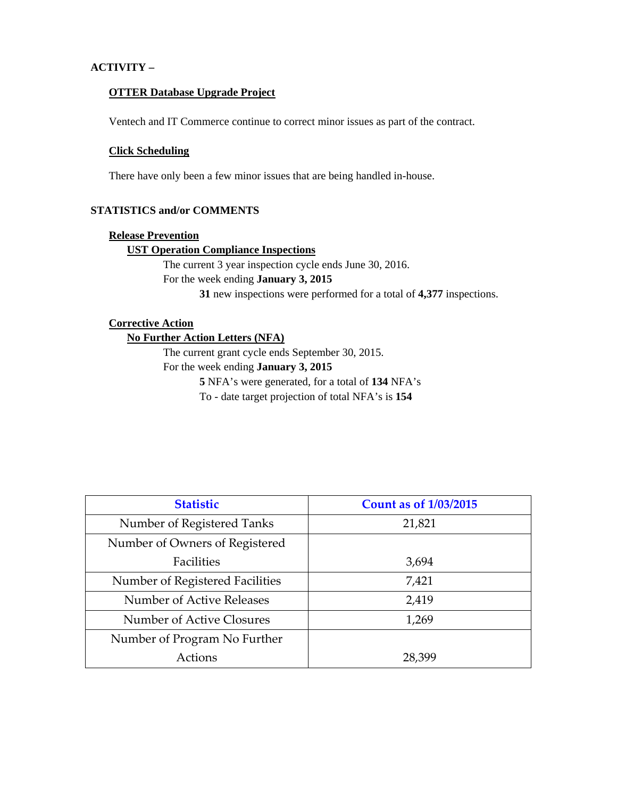# **ACTIVITY –**

## **OTTER Database Upgrade Project**

Ventech and IT Commerce continue to correct minor issues as part of the contract.

## **Click Scheduling**

There have only been a few minor issues that are being handled in-house.

## **STATISTICS and/or COMMENTS**

## **Release Prevention**

## **UST Operation Compliance Inspections**

The current 3 year inspection cycle ends June 30, 2016.

For the week ending **January 3, 2015** 

**31** new inspections were performed for a total of **4,377** inspections.

## **Corrective Action**

## **No Further Action Letters (NFA)**

The current grant cycle ends September 30, 2015.

For the week ending **January 3, 2015** 

**5** NFA's were generated, for a total of **134** NFA's

To - date target projection of total NFA's is **154** 

| <b>Statistic</b>                | <b>Count as of 1/03/2015</b> |
|---------------------------------|------------------------------|
| Number of Registered Tanks      | 21,821                       |
| Number of Owners of Registered  |                              |
| Facilities                      | 3,694                        |
| Number of Registered Facilities | 7,421                        |
| Number of Active Releases       | 2,419                        |
| Number of Active Closures       | 1,269                        |
| Number of Program No Further    |                              |
| Actions                         | 28,399                       |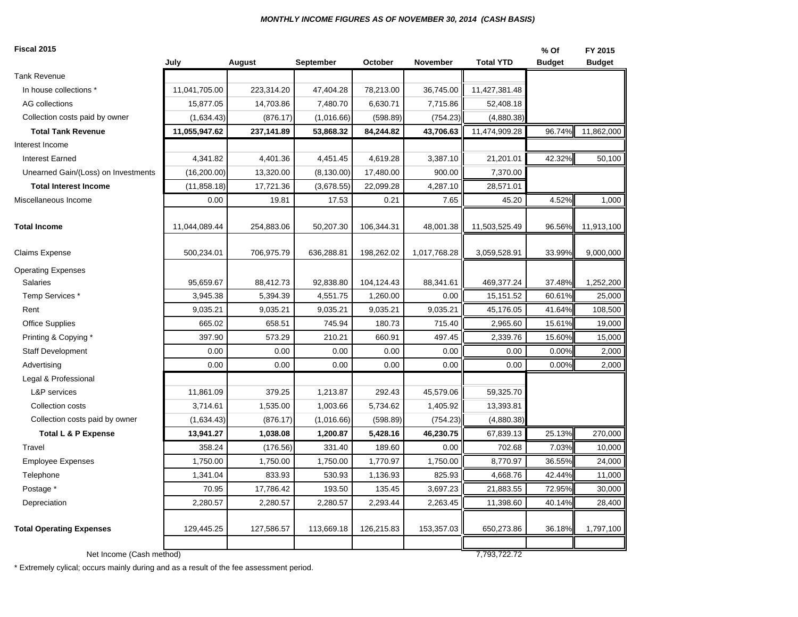#### *MONTHLY INCOME FIGURES AS OF NOVEMBER 30, 2014 (CASH BASIS)*

| Fiscal 2015                         |               |            |             |            |                 |                  | % Of          | FY 2015       |
|-------------------------------------|---------------|------------|-------------|------------|-----------------|------------------|---------------|---------------|
|                                     | July          | August     | September   | October    | <b>November</b> | <b>Total YTD</b> | <b>Budget</b> | <b>Budget</b> |
| <b>Tank Revenue</b>                 |               |            |             |            |                 |                  |               |               |
| In house collections *              | 11,041,705.00 | 223,314.20 | 47,404.28   | 78,213.00  | 36,745.00       | 11,427,381.48    |               |               |
| AG collections                      | 15,877.05     | 14,703.86  | 7,480.70    | 6,630.71   | 7,715.86        | 52,408.18        |               |               |
| Collection costs paid by owner      | (1,634.43)    | (876.17)   | (1,016.66)  | (598.89)   | (754.23)        | (4,880.38)       |               |               |
| <b>Total Tank Revenue</b>           | 11,055,947.62 | 237,141.89 | 53,868.32   | 84,244.82  | 43,706.63       | 11,474,909.28    | 96.74%        | 11,862,000    |
| Interest Income                     |               |            |             |            |                 |                  |               |               |
| <b>Interest Earned</b>              | 4,341.82      | 4,401.36   | 4,451.45    | 4,619.28   | 3,387.10        | 21,201.01        | 42.32%        | 50,100        |
| Unearned Gain/(Loss) on Investments | (16, 200.00)  | 13,320.00  | (8, 130.00) | 17,480.00  | 900.00          | 7,370.00         |               |               |
| <b>Total Interest Income</b>        | (11, 858.18)  | 17,721.36  | (3,678.55)  | 22,099.28  | 4,287.10        | 28,571.01        |               |               |
| Miscellaneous Income                | 0.00          | 19.81      | 17.53       | 0.21       | 7.65            | 45.20            | 4.52%         | 1,000         |
| <b>Total Income</b>                 | 11,044,089.44 | 254,883.06 | 50,207.30   | 106,344.31 | 48,001.38       | 11,503,525.49    | 96.56%        | 11,913,100    |
|                                     |               |            |             |            |                 |                  |               |               |
| <b>Claims Expense</b>               | 500,234.01    | 706,975.79 | 636,288.81  | 198,262.02 | 1,017,768.28    | 3,059,528.91     | 33.99%        | 9,000,000     |
| <b>Operating Expenses</b>           |               |            |             |            |                 |                  |               |               |
| <b>Salaries</b>                     | 95,659.67     | 88,412.73  | 92,838.80   | 104,124.43 | 88,341.61       | 469,377.24       | 37.48%        | 1,252,200     |
| Temp Services *                     | 3,945.38      | 5,394.39   | 4,551.75    | 1,260.00   | 0.00            | 15,151.52        | 60.61%        | 25,000        |
| Rent                                | 9,035.21      | 9,035.21   | 9,035.21    | 9,035.21   | 9,035.21        | 45,176.05        | 41.64%        | 108,500       |
| <b>Office Supplies</b>              | 665.02        | 658.51     | 745.94      | 180.73     | 715.40          | 2,965.60         | 15.61%        | 19,000        |
| Printing & Copying *                | 397.90        | 573.29     | 210.21      | 660.91     | 497.45          | 2,339.76         | 15.60%        | 15,000        |
| <b>Staff Development</b>            | 0.00          | 0.00       | 0.00        | 0.00       | 0.00            | 0.00             | 0.00%         | 2,000         |
| Advertising                         | 0.00          | 0.00       | 0.00        | 0.00       | 0.00            | 0.00             | 0.00%         | 2,000         |
| Legal & Professional                |               |            |             |            |                 |                  |               |               |
| L&P services                        | 11,861.09     | 379.25     | 1,213.87    | 292.43     | 45,579.06       | 59,325.70        |               |               |
| Collection costs                    | 3,714.61      | 1,535.00   | 1,003.66    | 5,734.62   | 1,405.92        | 13,393.81        |               |               |
| Collection costs paid by owner      | (1,634.43)    | (876.17)   | (1,016.66)  | (598.89)   | (754.23)        | (4,880.38)       |               |               |
| <b>Total L &amp; P Expense</b>      | 13,941.27     | 1,038.08   | 1,200.87    | 5,428.16   | 46,230.75       | 67,839.13        | 25.13%        | 270,000       |
| Travel                              | 358.24        | (176.56)   | 331.40      | 189.60     | 0.00            | 702.68           | 7.03%         | 10,000        |
| <b>Employee Expenses</b>            | 1,750.00      | 1,750.00   | 1,750.00    | 1,770.97   | 1,750.00        | 8,770.97         | 36.55%        | 24,000        |
| Telephone                           | 1,341.04      | 833.93     | 530.93      | 1,136.93   | 825.93          | 4,668.76         | 42.44%        | 11,000        |
| Postage *                           | 70.95         | 17,786.42  | 193.50      | 135.45     | 3,697.23        | 21,883.55        | 72.95%        | 30,000        |
| Depreciation                        | 2,280.57      | 2,280.57   | 2,280.57    | 2,293.44   | 2,263.45        | 11,398.60        | 40.14%        | 28,400        |
| <b>Total Operating Expenses</b>     | 129,445.25    | 127,586.57 | 113,669.18  | 126,215.83 | 153,357.03      | 650,273.86       | 36.18%        | 1,797,100     |

Net Income (Cash method) 7,793,722.72

\* Extremely cylical; occurs mainly during and as a result of the fee assessment period.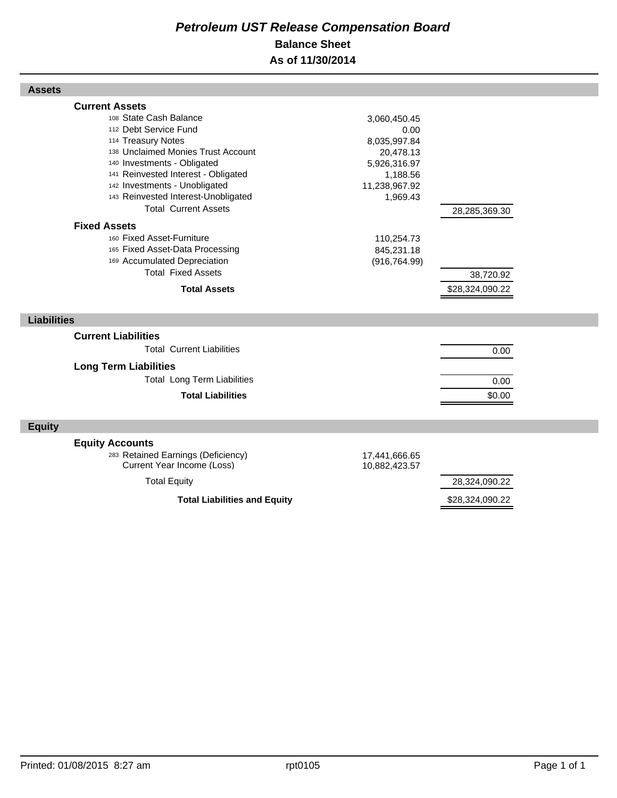# *Petroleum UST Release Compensation Board*  **Balance Sheet As of 11/30/2014**

| <b>Assets</b>                                                                                                                                                                                                                                                                                                     |                                                                                                            |                              |  |
|-------------------------------------------------------------------------------------------------------------------------------------------------------------------------------------------------------------------------------------------------------------------------------------------------------------------|------------------------------------------------------------------------------------------------------------|------------------------------|--|
| <b>Current Assets</b><br>108 State Cash Balance<br>112 Debt Service Fund<br>114 Treasury Notes<br>138 Unclaimed Monies Trust Account<br>140 Investments - Obligated<br>141 Reinvested Interest - Obligated<br>142 Investments - Unobligated<br>143 Reinvested Interest-Unobligated<br><b>Total Current Assets</b> | 3,060,450.45<br>0.00<br>8,035,997.84<br>20,478.13<br>5,926,316.97<br>1,188.56<br>11,238,967.92<br>1,969.43 | 28,285,369.30                |  |
| <b>Fixed Assets</b><br>160 Fixed Asset-Furniture<br>165 Fixed Asset-Data Processing<br>169 Accumulated Depreciation<br><b>Total Fixed Assets</b><br><b>Total Assets</b>                                                                                                                                           | 110,254.73<br>845,231.18<br>(916, 764.99)                                                                  | 38,720.92<br>\$28,324,090.22 |  |
| <b>Liabilities</b>                                                                                                                                                                                                                                                                                                |                                                                                                            |                              |  |
| <b>Current Liabilities</b><br><b>Total Current Liabilities</b><br><b>Long Term Liabilities</b><br><b>Total Long Term Liabilities</b><br><b>Total Liabilities</b>                                                                                                                                                  |                                                                                                            | 0.00<br>0.00<br>\$0.00       |  |
| <b>Equity</b>                                                                                                                                                                                                                                                                                                     |                                                                                                            |                              |  |
| <b>Equity Accounts</b><br>283 Retained Earnings (Deficiency)<br>Current Year Income (Loss)<br><b>Total Equity</b>                                                                                                                                                                                                 | 17,441,666.65<br>10,882,423.57                                                                             | 28,324,090.22                |  |
| <b>Total Liabilities and Equity</b>                                                                                                                                                                                                                                                                               |                                                                                                            | \$28,324,090.22              |  |

Г

Г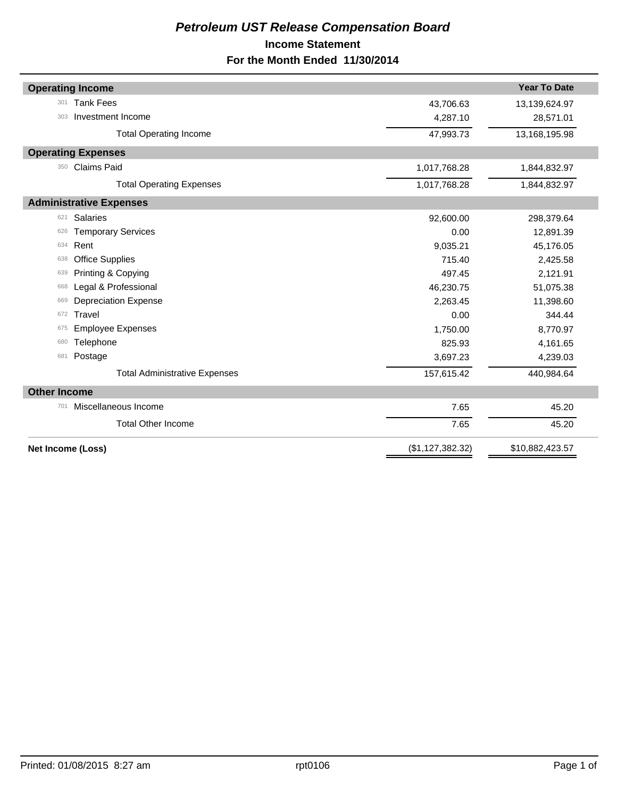# *Petroleum UST Release Compensation Board*  **Income Statement For the Month Ended 11/30/2014**

|                     | <b>Operating Income</b>              |                  | <b>Year To Date</b> |
|---------------------|--------------------------------------|------------------|---------------------|
| 301                 | <b>Tank Fees</b>                     | 43,706.63        | 13,139,624.97       |
| 303                 | Investment Income                    | 4,287.10         | 28,571.01           |
|                     | <b>Total Operating Income</b>        | 47,993.73        | 13,168,195.98       |
|                     | <b>Operating Expenses</b>            |                  |                     |
| 350                 | <b>Claims Paid</b>                   | 1,017,768.28     | 1,844,832.97        |
|                     | <b>Total Operating Expenses</b>      | 1,017,768.28     | 1,844,832.97        |
|                     | <b>Administrative Expenses</b>       |                  |                     |
| 621                 | <b>Salaries</b>                      | 92,600.00        | 298,379.64          |
| 626                 | <b>Temporary Services</b>            | 0.00             | 12,891.39           |
| 634                 | Rent                                 | 9,035.21         | 45,176.05           |
| 638                 | <b>Office Supplies</b>               | 715.40           | 2,425.58            |
| 639                 | Printing & Copying                   | 497.45           | 2,121.91            |
| 668                 | Legal & Professional                 | 46,230.75        | 51,075.38           |
| 669                 | <b>Depreciation Expense</b>          | 2,263.45         | 11,398.60           |
| 672                 | Travel                               | 0.00             | 344.44              |
| 675                 | <b>Employee Expenses</b>             | 1,750.00         | 8,770.97            |
| 680                 | Telephone                            | 825.93           | 4,161.65            |
| 681                 | Postage                              | 3,697.23         | 4,239.03            |
|                     | <b>Total Administrative Expenses</b> | 157,615.42       | 440,984.64          |
| <b>Other Income</b> |                                      |                  |                     |
| 701                 | Miscellaneous Income                 | 7.65             | 45.20               |
|                     | <b>Total Other Income</b>            | 7.65             | 45.20               |
|                     | Net Income (Loss)                    | (\$1,127,382.32) | \$10,882,423.57     |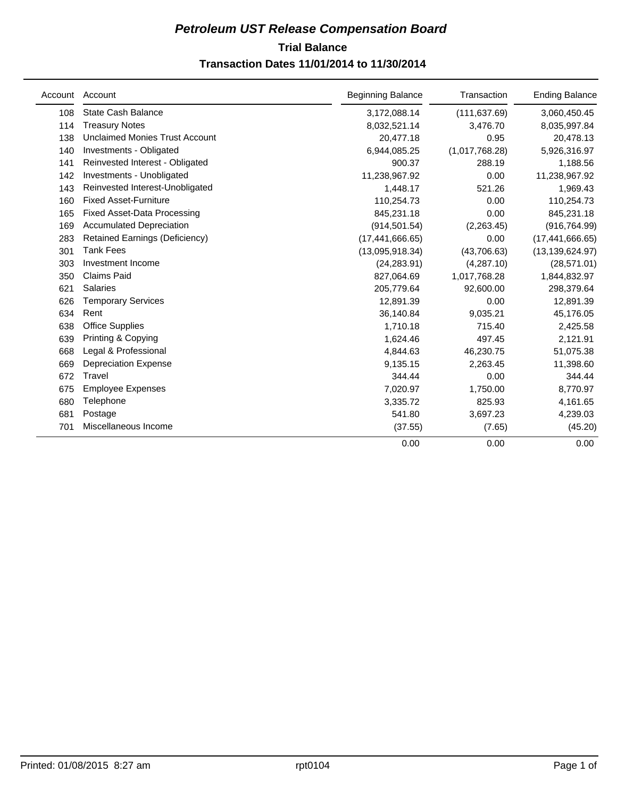# **Trial Balance** *Petroleum UST Release Compensation Board*  **Transaction Dates 11/01/2014 to 11/30/2014**

|     | Account Account                       | <b>Beginning Balance</b> | Transaction    | <b>Ending Balance</b> |
|-----|---------------------------------------|--------------------------|----------------|-----------------------|
| 108 | <b>State Cash Balance</b>             | 3,172,088.14             | (111, 637.69)  | 3,060,450.45          |
| 114 | <b>Treasury Notes</b>                 | 8,032,521.14             | 3,476.70       | 8,035,997.84          |
| 138 | <b>Unclaimed Monies Trust Account</b> | 20,477.18                | 0.95           | 20,478.13             |
| 140 | Investments - Obligated               | 6,944,085.25             | (1,017,768.28) | 5,926,316.97          |
| 141 | Reinvested Interest - Obligated       | 900.37                   | 288.19         | 1,188.56              |
| 142 | Investments - Unobligated             | 11,238,967.92            | 0.00           | 11,238,967.92         |
| 143 | Reinvested Interest-Unobligated       | 1,448.17                 | 521.26         | 1,969.43              |
| 160 | <b>Fixed Asset-Furniture</b>          | 110,254.73               | 0.00           | 110,254.73            |
| 165 | <b>Fixed Asset-Data Processing</b>    | 845,231.18               | 0.00           | 845,231.18            |
| 169 | <b>Accumulated Depreciation</b>       | (914, 501.54)            | (2,263.45)     | (916, 764.99)         |
| 283 | <b>Retained Earnings (Deficiency)</b> | (17, 441, 666.65)        | 0.00           | (17, 441, 666.65)     |
| 301 | <b>Tank Fees</b>                      | (13,095,918.34)          | (43,706.63)    | (13, 139, 624.97)     |
| 303 | Investment Income                     | (24, 283.91)             | (4,287.10)     | (28, 571.01)          |
| 350 | <b>Claims Paid</b>                    | 827,064.69               | 1,017,768.28   | 1,844,832.97          |
| 621 | <b>Salaries</b>                       | 205,779.64               | 92,600.00      | 298,379.64            |
| 626 | <b>Temporary Services</b>             | 12,891.39                | 0.00           | 12,891.39             |
| 634 | Rent                                  | 36,140.84                | 9,035.21       | 45,176.05             |
| 638 | <b>Office Supplies</b>                | 1,710.18                 | 715.40         | 2,425.58              |
| 639 | Printing & Copying                    | 1,624.46                 | 497.45         | 2,121.91              |
| 668 | Legal & Professional                  | 4,844.63                 | 46,230.75      | 51,075.38             |
| 669 | <b>Depreciation Expense</b>           | 9,135.15                 | 2,263.45       | 11,398.60             |
| 672 | Travel                                | 344.44                   | 0.00           | 344.44                |
| 675 | <b>Employee Expenses</b>              | 7,020.97                 | 1,750.00       | 8,770.97              |
| 680 | Telephone                             | 3,335.72                 | 825.93         | 4,161.65              |
| 681 | Postage                               | 541.80                   | 3,697.23       | 4,239.03              |
| 701 | Miscellaneous Income                  | (37.55)                  | (7.65)         | (45.20)               |
|     |                                       | 0.00                     | 0.00           | 0.00                  |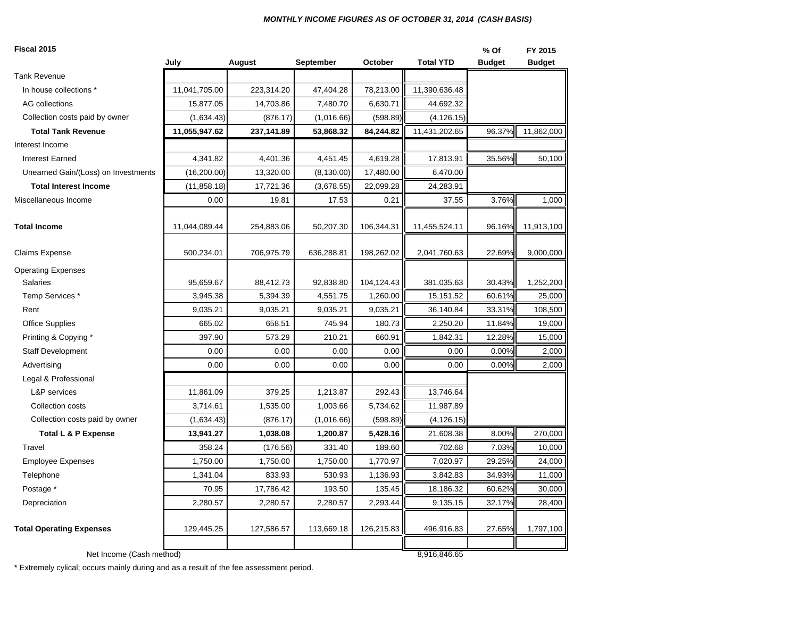#### *MONTHLY INCOME FIGURES AS OF OCTOBER 31, 2014 (CASH BASIS)*

| Fiscal 2015                         |               |            |             |            |                  | % Of          | FY 2015       |
|-------------------------------------|---------------|------------|-------------|------------|------------------|---------------|---------------|
|                                     | July          | August     | September   | October    | <b>Total YTD</b> | <b>Budget</b> | <b>Budget</b> |
| <b>Tank Revenue</b>                 |               |            |             |            |                  |               |               |
| In house collections *              | 11,041,705.00 | 223,314.20 | 47,404.28   | 78,213.00  | 11,390,636.48    |               |               |
| AG collections                      | 15,877.05     | 14,703.86  | 7,480.70    | 6,630.71   | 44,692.32        |               |               |
| Collection costs paid by owner      | (1,634.43)    | (876.17)   | (1,016.66)  | (598.89)   | (4, 126.15)      |               |               |
| <b>Total Tank Revenue</b>           | 11,055,947.62 | 237,141.89 | 53,868.32   | 84,244.82  | 11,431,202.65    | 96.37%        | 11,862,000    |
| Interest Income                     |               |            |             |            |                  |               |               |
| <b>Interest Earned</b>              | 4,341.82      | 4,401.36   | 4,451.45    | 4,619.28   | 17,813.91        | 35.56%        | 50,100        |
| Unearned Gain/(Loss) on Investments | (16, 200.00)  | 13,320.00  | (8, 130.00) | 17,480.00  | 6,470.00         |               |               |
| <b>Total Interest Income</b>        | (11, 858.18)  | 17,721.36  | (3,678.55)  | 22,099.28  | 24,283.91        |               |               |
| Miscellaneous Income                | 0.00          | 19.81      | 17.53       | 0.21       | 37.55            | 3.76%         | 1,000         |
| <b>Total Income</b>                 | 11,044,089.44 | 254,883.06 | 50,207.30   | 106,344.31 | 11,455,524.11    | 96.16%        | 11,913,100    |
| <b>Claims Expense</b>               | 500,234.01    | 706,975.79 | 636,288.81  | 198,262.02 | 2,041,760.63     | 22.69%        | 9,000,000     |
| <b>Operating Expenses</b>           |               |            |             |            |                  |               |               |
| <b>Salaries</b>                     | 95,659.67     | 88,412.73  | 92,838.80   | 104,124.43 | 381,035.63       | 30.43%        | 1,252,200     |
| Temp Services*                      | 3,945.38      | 5,394.39   | 4,551.75    | 1,260.00   | 15,151.52        | 60.61%        | 25,000        |
| Rent                                | 9,035.21      | 9,035.21   | 9,035.21    | 9,035.21   | 36,140.84        | 33.31%        | 108,500       |
| <b>Office Supplies</b>              | 665.02        | 658.51     | 745.94      | 180.73     | 2,250.20         | 11.84%        | 19,000        |
| Printing & Copying *                | 397.90        | 573.29     | 210.21      | 660.91     | 1,842.31         | 12.28%        | 15,000        |
| <b>Staff Development</b>            | 0.00          | 0.00       | 0.00        | 0.00       | 0.00             | 0.00%         | 2,000         |
| Advertising                         | 0.00          | 0.00       | 0.00        | 0.00       | 0.00             | 0.00%         | 2,000         |
| Legal & Professional                |               |            |             |            |                  |               |               |
| L&P services                        | 11,861.09     | 379.25     | 1,213.87    | 292.43     | 13,746.64        |               |               |
| Collection costs                    | 3,714.61      | 1,535.00   | 1,003.66    | 5,734.62   | 11,987.89        |               |               |
| Collection costs paid by owner      | (1,634.43)    | (876.17)   | (1,016.66)  | (598.89)   | (4, 126.15)      |               |               |
| Total L & P Expense                 | 13,941.27     | 1,038.08   | 1,200.87    | 5,428.16   | 21,608.38        | 8.00%         | 270,000       |
| Travel                              | 358.24        | (176.56)   | 331.40      | 189.60     | 702.68           | 7.03%         | 10,000        |
| <b>Employee Expenses</b>            | 1,750.00      | 1,750.00   | 1,750.00    | 1,770.97   | 7,020.97         | 29.25%        | 24,000        |
| Telephone                           | 1,341.04      | 833.93     | 530.93      | 1,136.93   | 3,842.83         | 34.93%        | 11,000        |
| Postage *                           | 70.95         | 17,786.42  | 193.50      | 135.45     | 18,186.32        | 60.62%        | 30,000        |
| Depreciation                        | 2,280.57      | 2,280.57   | 2,280.57    | 2,293.44   | 9,135.15         | 32.17%        | 28,400        |
| <b>Total Operating Expenses</b>     | 129,445.25    | 127,586.57 | 113,669.18  | 126,215.83 | 496,916.83       | 27.65%        | 1,797,100     |
|                                     |               |            |             |            |                  |               |               |

Net Income (Cash method) 8,916,846.65

\* Extremely cylical; occurs mainly during and as a result of the fee assessment period.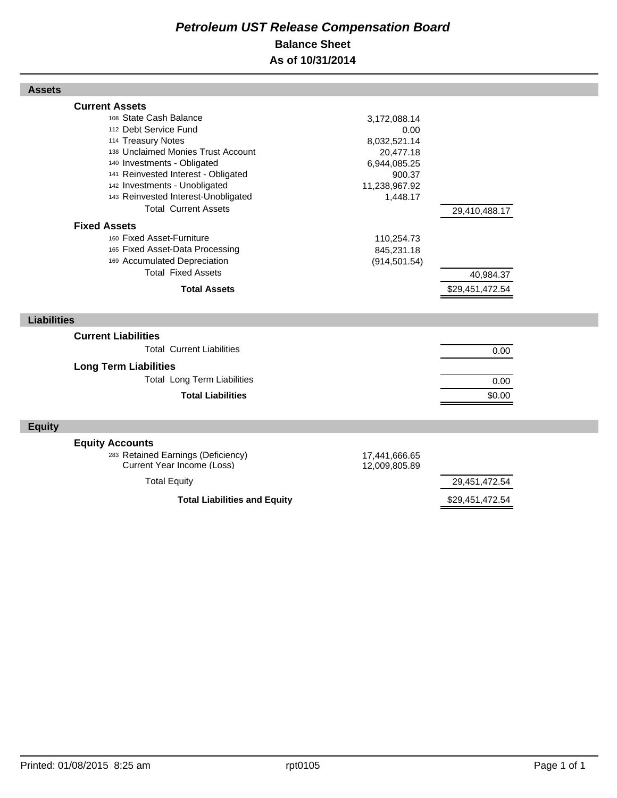# *Petroleum UST Release Compensation Board*  **Balance Sheet As of 10/31/2014**

| <b>Assets</b>                       |               |                 |  |
|-------------------------------------|---------------|-----------------|--|
| <b>Current Assets</b>               |               |                 |  |
| 108 State Cash Balance              | 3,172,088.14  |                 |  |
| 112 Debt Service Fund               | 0.00          |                 |  |
| 114 Treasury Notes                  | 8,032,521.14  |                 |  |
| 138 Unclaimed Monies Trust Account  | 20,477.18     |                 |  |
| 140 Investments - Obligated         | 6,944,085.25  |                 |  |
| 141 Reinvested Interest - Obligated | 900.37        |                 |  |
| 142 Investments - Unobligated       | 11,238,967.92 |                 |  |
| 143 Reinvested Interest-Unobligated | 1,448.17      |                 |  |
| <b>Total Current Assets</b>         |               | 29,410,488.17   |  |
| <b>Fixed Assets</b>                 |               |                 |  |
| 160 Fixed Asset-Furniture           | 110,254.73    |                 |  |
| 165 Fixed Asset-Data Processing     | 845,231.18    |                 |  |
| 169 Accumulated Depreciation        | (914, 501.54) |                 |  |
| <b>Total Fixed Assets</b>           |               | 40,984.37       |  |
| <b>Total Assets</b>                 |               | \$29,451,472.54 |  |
|                                     |               |                 |  |
| <b>Liabilities</b>                  |               |                 |  |
| <b>Current Liabilities</b>          |               |                 |  |
| <b>Total Current Liabilities</b>    |               | 0.00            |  |
| <b>Long Term Liabilities</b>        |               |                 |  |
| <b>Total Long Term Liabilities</b>  |               | 0.00            |  |
| <b>Total Liabilities</b>            |               | \$0.00          |  |
|                                     |               |                 |  |
| <b>Equity</b>                       |               |                 |  |
|                                     |               |                 |  |
| <b>Equity Accounts</b>              |               |                 |  |
| 283 Retained Earnings (Deficiency)  | 17,441,666.65 |                 |  |
| Current Year Income (Loss)          | 12,009,805.89 |                 |  |
| <b>Total Equity</b>                 |               | 29,451,472.54   |  |
| <b>Total Liabilities and Equity</b> |               | \$29,451,472.54 |  |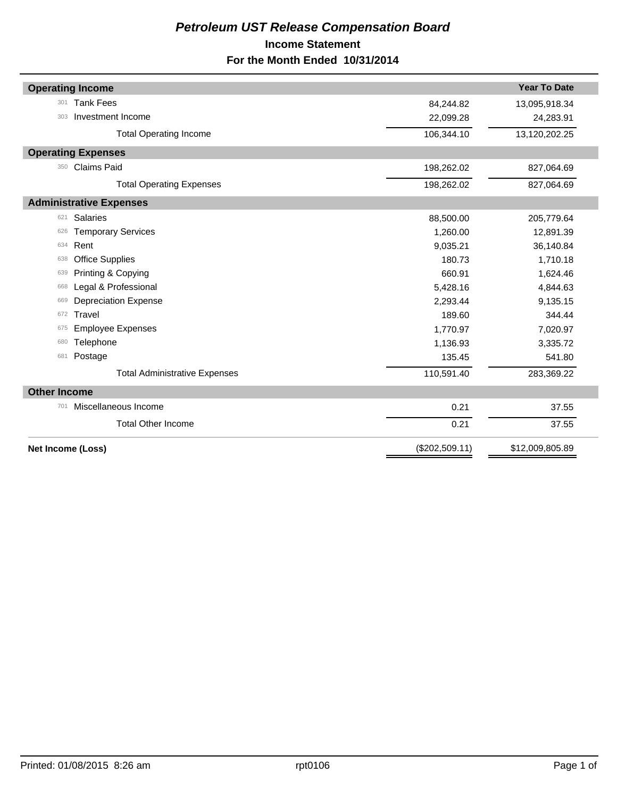# *Petroleum UST Release Compensation Board*  **Income Statement For the Month Ended 10/31/2014**

|                     | <b>Operating Income</b>              |                | <b>Year To Date</b> |
|---------------------|--------------------------------------|----------------|---------------------|
| 301                 | <b>Tank Fees</b>                     | 84,244.82      | 13,095,918.34       |
| 303                 | Investment Income                    | 22,099.28      | 24,283.91           |
|                     | <b>Total Operating Income</b>        | 106,344.10     | 13,120,202.25       |
|                     | <b>Operating Expenses</b>            |                |                     |
| 350                 | <b>Claims Paid</b>                   | 198,262.02     | 827,064.69          |
|                     | <b>Total Operating Expenses</b>      | 198,262.02     | 827,064.69          |
|                     | <b>Administrative Expenses</b>       |                |                     |
| 621                 | <b>Salaries</b>                      | 88,500.00      | 205,779.64          |
| 626                 | <b>Temporary Services</b>            | 1,260.00       | 12,891.39           |
| 634                 | Rent                                 | 9,035.21       | 36,140.84           |
| 638                 | <b>Office Supplies</b>               | 180.73         | 1,710.18            |
| 639                 | Printing & Copying                   | 660.91         | 1,624.46            |
| 668                 | Legal & Professional                 | 5,428.16       | 4,844.63            |
| 669                 | <b>Depreciation Expense</b>          | 2,293.44       | 9,135.15            |
| 672                 | Travel                               | 189.60         | 344.44              |
| 675                 | <b>Employee Expenses</b>             | 1,770.97       | 7,020.97            |
| 680                 | Telephone                            | 1,136.93       | 3,335.72            |
| 681                 | Postage                              | 135.45         | 541.80              |
|                     | <b>Total Administrative Expenses</b> | 110,591.40     | 283,369.22          |
| <b>Other Income</b> |                                      |                |                     |
| 701                 | Miscellaneous Income                 | 0.21           | 37.55               |
|                     | <b>Total Other Income</b>            | 0.21           | 37.55               |
|                     | Net Income (Loss)                    | (\$202,509.11) | \$12,009,805.89     |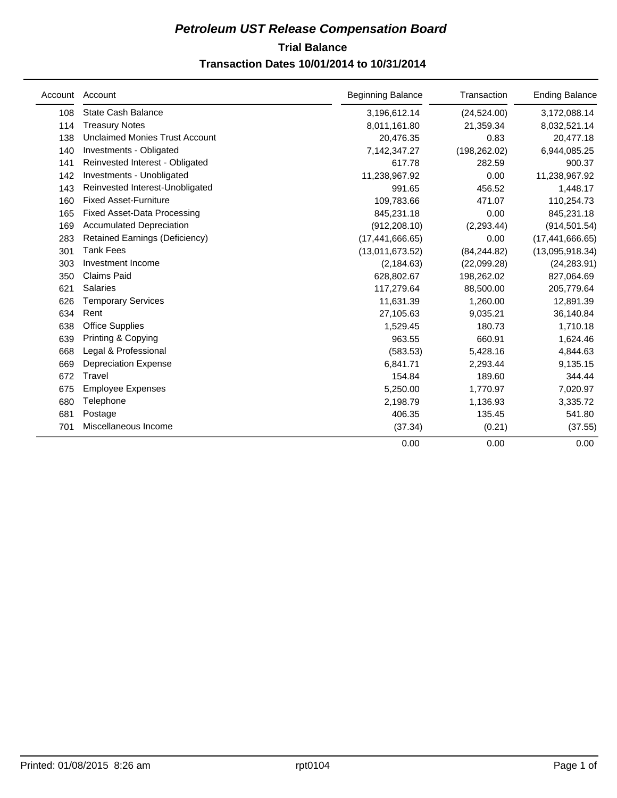# **Trial Balance** *Petroleum UST Release Compensation Board*  **Transaction Dates 10/01/2014 to 10/31/2014**

|     | Account Account                       | <b>Beginning Balance</b> | Transaction   | <b>Ending Balance</b> |
|-----|---------------------------------------|--------------------------|---------------|-----------------------|
| 108 | <b>State Cash Balance</b>             | 3,196,612.14             | (24, 524.00)  | 3,172,088.14          |
| 114 | <b>Treasury Notes</b>                 | 8,011,161.80             | 21,359.34     | 8,032,521.14          |
| 138 | <b>Unclaimed Monies Trust Account</b> | 20,476.35                | 0.83          | 20,477.18             |
| 140 | Investments - Obligated               | 7, 142, 347. 27          | (198, 262.02) | 6,944,085.25          |
| 141 | Reinvested Interest - Obligated       | 617.78                   | 282.59        | 900.37                |
| 142 | Investments - Unobligated             | 11,238,967.92            | 0.00          | 11,238,967.92         |
| 143 | Reinvested Interest-Unobligated       | 991.65                   | 456.52        | 1,448.17              |
| 160 | <b>Fixed Asset-Furniture</b>          | 109,783.66               | 471.07        | 110,254.73            |
| 165 | <b>Fixed Asset-Data Processing</b>    | 845,231.18               | 0.00          | 845,231.18            |
| 169 | <b>Accumulated Depreciation</b>       | (912, 208.10)            | (2, 293.44)   | (914, 501.54)         |
| 283 | <b>Retained Earnings (Deficiency)</b> | (17, 441, 666.65)        | 0.00          | (17, 441, 666.65)     |
| 301 | <b>Tank Fees</b>                      | (13,011,673.52)          | (84, 244.82)  | (13,095,918.34)       |
| 303 | Investment Income                     | (2, 184.63)              | (22,099.28)   | (24, 283.91)          |
| 350 | <b>Claims Paid</b>                    | 628,802.67               | 198,262.02    | 827,064.69            |
| 621 | <b>Salaries</b>                       | 117,279.64               | 88,500.00     | 205,779.64            |
| 626 | <b>Temporary Services</b>             | 11,631.39                | 1,260.00      | 12,891.39             |
| 634 | Rent                                  | 27,105.63                | 9,035.21      | 36,140.84             |
| 638 | <b>Office Supplies</b>                | 1,529.45                 | 180.73        | 1,710.18              |
| 639 | Printing & Copying                    | 963.55                   | 660.91        | 1,624.46              |
| 668 | Legal & Professional                  | (583.53)                 | 5,428.16      | 4,844.63              |
| 669 | <b>Depreciation Expense</b>           | 6,841.71                 | 2,293.44      | 9,135.15              |
| 672 | Travel                                | 154.84                   | 189.60        | 344.44                |
| 675 | <b>Employee Expenses</b>              | 5,250.00                 | 1,770.97      | 7,020.97              |
| 680 | Telephone                             | 2,198.79                 | 1,136.93      | 3,335.72              |
| 681 | Postage                               | 406.35                   | 135.45        | 541.80                |
| 701 | Miscellaneous Income                  | (37.34)                  | (0.21)        | (37.55)               |
|     |                                       | 0.00                     | 0.00          | 0.00                  |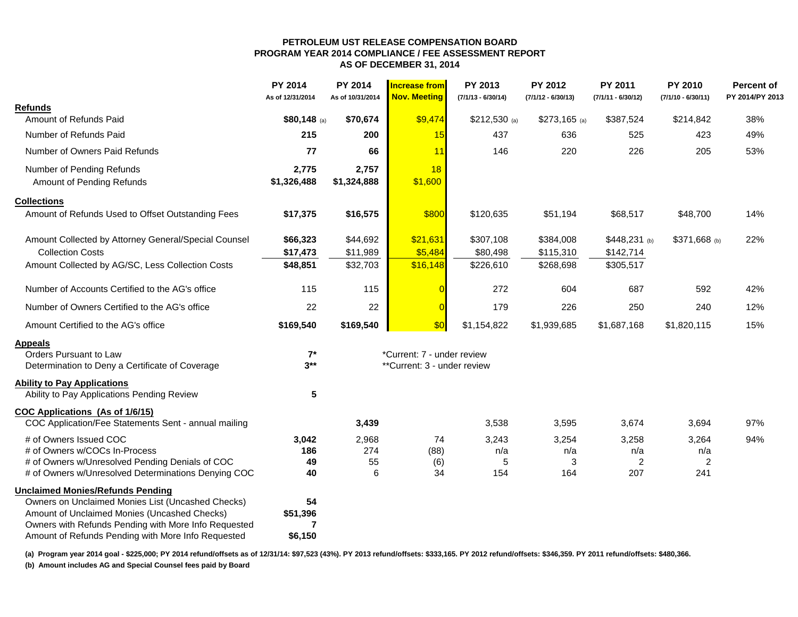#### **PETROLEUM UST RELEASE COMPENSATION BOARD PROGRAM YEAR 2014 COMPLIANCE / FEE ASSESSMENT REPORT AS OF DECEMBER 31, 2014**

|                                                                                                            | <b>PY 2014</b><br>As of 12/31/2014 | PY 2014<br>As of 10/31/2014 | <b>Increase from</b><br><b>Nov. Meeting</b> | PY 2013<br>$(7/1/13 - 6/30/14)$ | <b>PY 2012</b><br>$(7/1/12 - 6/30/13)$ | PY 2011<br>$(7/1/11 - 6/30/12)$ | <b>PY 2010</b><br>$(7/1/10 - 6/30/11)$ | <b>Percent of</b><br>PY 2014/PY 2013 |
|------------------------------------------------------------------------------------------------------------|------------------------------------|-----------------------------|---------------------------------------------|---------------------------------|----------------------------------------|---------------------------------|----------------------------------------|--------------------------------------|
| <b>Refunds</b>                                                                                             |                                    |                             |                                             |                                 |                                        |                                 |                                        |                                      |
| Amount of Refunds Paid                                                                                     | $$80,148$ (a)                      | \$70,674                    | \$9,474                                     | $$212,530$ (a)                  | $$273,165$ (a)                         | \$387,524                       | \$214,842                              | 38%                                  |
| Number of Refunds Paid                                                                                     | 215                                | 200                         | 15                                          | 437                             | 636                                    | 525                             | 423                                    | 49%                                  |
| Number of Owners Paid Refunds                                                                              | 77                                 | 66                          | 11                                          | 146                             | 220                                    | 226                             | 205                                    | 53%                                  |
| Number of Pending Refunds                                                                                  | 2,775                              | 2,757                       | 18                                          |                                 |                                        |                                 |                                        |                                      |
| Amount of Pending Refunds                                                                                  | \$1,326,488                        | \$1,324,888                 | \$1,600                                     |                                 |                                        |                                 |                                        |                                      |
| <b>Collections</b>                                                                                         |                                    |                             |                                             |                                 |                                        |                                 |                                        |                                      |
| Amount of Refunds Used to Offset Outstanding Fees                                                          | \$17,375                           | \$16,575                    | \$800                                       | \$120,635                       | \$51,194                               | \$68,517                        | \$48,700                               | 14%                                  |
| Amount Collected by Attorney General/Special Counsel                                                       | \$66,323                           | \$44,692                    | \$21,631                                    | \$307,108                       | \$384,008                              | \$448,231 (b)                   | \$371,668 (b)                          | 22%                                  |
| <b>Collection Costs</b>                                                                                    | \$17,473                           | \$11,989                    | \$5,484                                     | \$80,498                        | \$115,310                              | \$142,714                       |                                        |                                      |
| Amount Collected by AG/SC, Less Collection Costs                                                           | \$48,851                           | \$32,703                    | \$16,148                                    | \$226,610                       | \$268,698                              | \$305,517                       |                                        |                                      |
| Number of Accounts Certified to the AG's office                                                            | 115                                | 115                         | $\Omega$                                    | 272                             | 604                                    | 687                             | 592                                    | 42%                                  |
| Number of Owners Certified to the AG's office                                                              | 22                                 | 22                          | $\overline{0}$                              | 179                             | 226                                    | 250                             | 240                                    | 12%                                  |
| Amount Certified to the AG's office                                                                        | \$169,540                          | \$169,540                   | \$0                                         | \$1,154,822                     | \$1,939,685                            | \$1,687,168                     | \$1,820,115                            | 15%                                  |
| <b>Appeals</b>                                                                                             |                                    |                             |                                             |                                 |                                        |                                 |                                        |                                      |
| Orders Pursuant to Law                                                                                     | $7^*$                              |                             | *Current: 7 - under review                  |                                 |                                        |                                 |                                        |                                      |
| Determination to Deny a Certificate of Coverage                                                            | $3***$                             |                             | **Current: 3 - under review                 |                                 |                                        |                                 |                                        |                                      |
| <b>Ability to Pay Applications</b>                                                                         |                                    |                             |                                             |                                 |                                        |                                 |                                        |                                      |
| Ability to Pay Applications Pending Review                                                                 | $5\phantom{1}$                     |                             |                                             |                                 |                                        |                                 |                                        |                                      |
| COC Applications (As of 1/6/15)                                                                            |                                    |                             |                                             |                                 |                                        |                                 |                                        | 97%                                  |
| COC Application/Fee Statements Sent - annual mailing                                                       |                                    | 3,439                       |                                             | 3,538                           | 3,595                                  | 3,674                           | 3,694                                  |                                      |
| # of Owners Issued COC<br># of Owners w/COCs In-Process                                                    | 3,042<br>186                       | 2,968<br>274                | 74                                          | 3,243                           | 3,254                                  | 3,258                           | 3,264                                  | 94%                                  |
| # of Owners w/Unresolved Pending Denials of COC                                                            | 49                                 | 55                          | (88)<br>(6)                                 | n/a<br>5                        | n/a<br>3                               | n/a<br>2                        | n/a<br>$\overline{\mathbf{c}}$         |                                      |
| # of Owners w/Unresolved Determinations Denying COC                                                        | 40                                 | 6                           | 34                                          | 154                             | 164                                    | 207                             | 241                                    |                                      |
| <b>Unclaimed Monies/Refunds Pending</b>                                                                    |                                    |                             |                                             |                                 |                                        |                                 |                                        |                                      |
| Owners on Unclaimed Monies List (Uncashed Checks)                                                          | 54                                 |                             |                                             |                                 |                                        |                                 |                                        |                                      |
| Amount of Unclaimed Monies (Uncashed Checks)                                                               | \$51,396                           |                             |                                             |                                 |                                        |                                 |                                        |                                      |
| Owners with Refunds Pending with More Info Requested<br>Amount of Refunds Pending with More Info Requested | 7<br>\$6,150                       |                             |                                             |                                 |                                        |                                 |                                        |                                      |
|                                                                                                            |                                    |                             |                                             |                                 |                                        |                                 |                                        |                                      |

**(a) Program year 2014 goal - \$225,000; PY 2014 refund/offsets as of 12/31/14: \$97,523 (43%). PY 2013 refund/offsets: \$333,165. PY 2012 refund/offsets: \$346,359. PY 2011 refund/offsets: \$480,366.** 

**(b) Amount includes AG and Special Counsel fees paid by Board**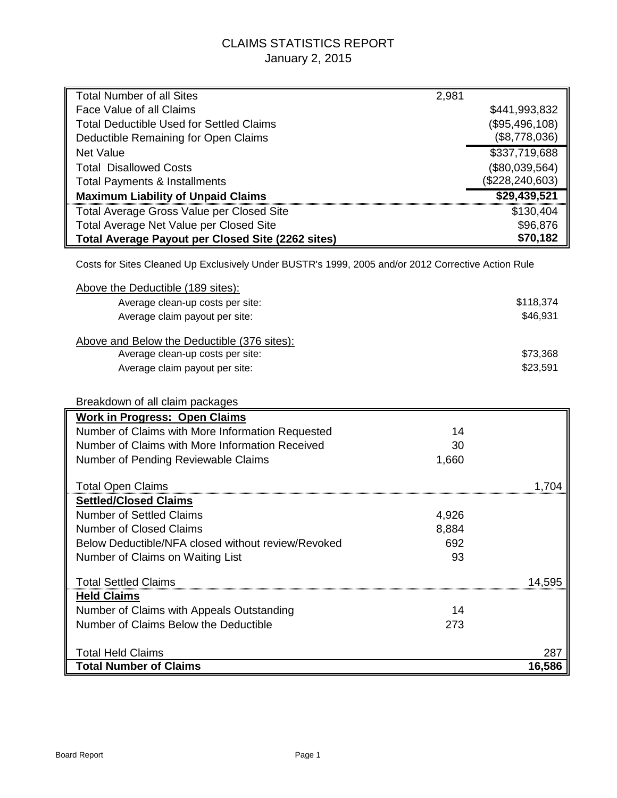# CLAIMS STATISTICS REPORT January 2, 2015

| <b>Total Number of all Sites</b>                                                                   | 2,981 |                   |
|----------------------------------------------------------------------------------------------------|-------|-------------------|
| Face Value of all Claims                                                                           |       | \$441,993,832     |
| <b>Total Deductible Used for Settled Claims</b>                                                    |       | (\$95,496,108)    |
| Deductible Remaining for Open Claims                                                               |       | (\$8,778,036)     |
| <b>Net Value</b>                                                                                   |       | \$337,719,688     |
| <b>Total Disallowed Costs</b>                                                                      |       | (\$80,039,564)    |
| <b>Total Payments &amp; Installments</b>                                                           |       | (\$228, 240, 603) |
| <b>Maximum Liability of Unpaid Claims</b>                                                          |       | \$29,439,521      |
| Total Average Gross Value per Closed Site                                                          |       | \$130,404         |
| Total Average Net Value per Closed Site                                                            |       | \$96,876          |
| <b>Total Average Payout per Closed Site (2262 sites)</b>                                           |       | \$70,182          |
| Costs for Sites Cleaned Up Exclusively Under BUSTR's 1999, 2005 and/or 2012 Corrective Action Rule |       |                   |
|                                                                                                    |       |                   |
| Above the Deductible (189 sites):                                                                  |       |                   |
| Average clean-up costs per site:                                                                   |       | \$118,374         |
| Average claim payout per site:                                                                     |       | \$46,931          |
| Above and Below the Deductible (376 sites):                                                        |       |                   |
| Average clean-up costs per site:                                                                   |       | \$73,368          |
| Average claim payout per site:                                                                     |       | \$23,591          |
|                                                                                                    |       |                   |
| Breakdown of all claim packages                                                                    |       |                   |
| <b>Work in Progress: Open Claims</b>                                                               |       |                   |
| Number of Claims with More Information Requested                                                   | 14    |                   |
| Number of Claims with More Information Received                                                    | 30    |                   |
| Number of Pending Reviewable Claims                                                                | 1,660 |                   |
|                                                                                                    |       |                   |
| <b>Total Open Claims</b>                                                                           |       | 1,704             |
| <b>Settled/Closed Claims</b>                                                                       |       |                   |
| <b>Number of Settled Claims</b>                                                                    | 4,926 |                   |
| <b>Number of Closed Claims</b>                                                                     | 8,884 |                   |
| Below Deductible/NFA closed without review/Revoked                                                 | 692   |                   |
| Number of Claims on Waiting List                                                                   | 93    |                   |
| <b>Total Settled Claims</b>                                                                        |       | 14,595            |
| <b>Held Claims</b>                                                                                 |       |                   |
| Number of Claims with Appeals Outstanding                                                          | 14    |                   |
| Number of Claims Below the Deductible                                                              | 273   |                   |
|                                                                                                    |       |                   |
| <b>Total Held Claims</b>                                                                           |       | 287               |
| <b>Total Number of Claims</b>                                                                      |       | 16,586            |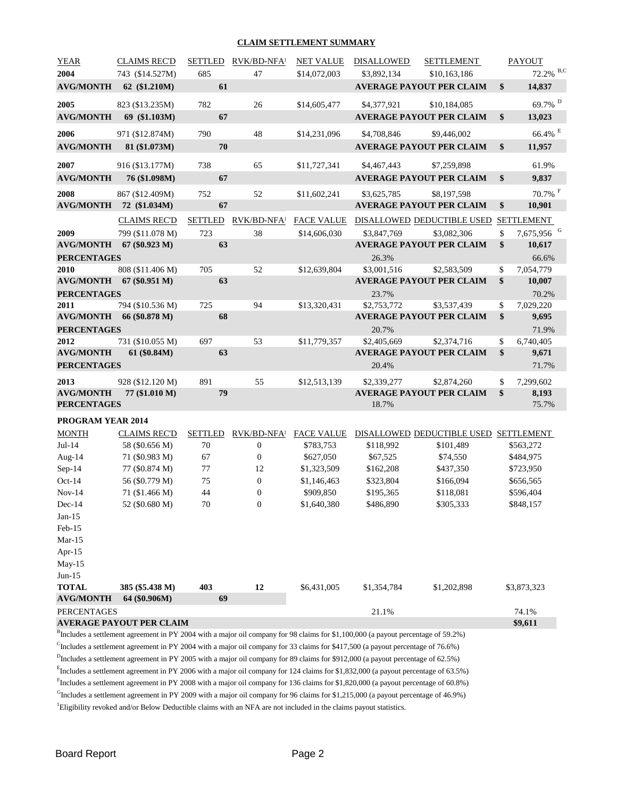#### **CLAIM SETTLEMENT SUMMARY**

| <b>YEAR</b>        | <b>CLAIMS REC'D</b>             | <b>SETTLED</b> | RVK/BD-NFA <sup>1</sup>         | <b>NET VALUE</b>  | <b>DISALLOWED</b> | <b>SETTLEMENT</b>                                            | <b>PAYOUT</b>                |
|--------------------|---------------------------------|----------------|---------------------------------|-------------------|-------------------|--------------------------------------------------------------|------------------------------|
| 2004               | 743 (\$14.527M)                 | 685            | 47                              | \$14,072,003      | \$3,892,134       | \$10,163,186                                                 | 72.2% B,C                    |
| <b>AVG/MONTH</b>   | 62 (\$1.210M)                   | 61             |                                 |                   |                   | <b>AVERAGE PAYOUT PER CLAIM</b>                              | \$<br>14,837                 |
| 2005               | 823 (\$13.235M)                 | 782            | 26                              | \$14,605,477      | \$4,377,921       | \$10,184,085                                                 | 69.7% <sup>D</sup>           |
| <b>AVG/MONTH</b>   | 69 (\$1.103M)                   | 67             |                                 |                   |                   | <b>AVERAGE PAYOUT PER CLAIM</b>                              | \$<br>13,023                 |
| 2006               | 971 (\$12.874M)                 | 790            | 48                              | \$14,231,096      | \$4,708,846       | \$9,446,002                                                  | 66.4% E                      |
| <b>AVG/MONTH</b>   | 81 (\$1.073M)                   | 70             |                                 |                   |                   | <b>AVERAGE PAYOUT PER CLAIM</b>                              | \$<br>11,957                 |
| 2007               | 916 (\$13.177M)                 | 738            | 65                              | \$11,727,341      | \$4,467,443       | \$7,259,898                                                  | 61.9%                        |
| <b>AVG/MONTH</b>   | 76 (\$1.098M)                   | 67             |                                 |                   |                   | <b>AVERAGE PAYOUT PER CLAIM</b>                              | \$<br>9,837                  |
| 2008               | 867 (\$12.409M)                 | 752            | 52                              | \$11,602,241      | \$3,625,785       | \$8,197,598                                                  | 70.7% F                      |
|                    | <b>AVG/MONTH</b> 72 (\$1.034M)  | 67             |                                 |                   |                   | <b>AVERAGE PAYOUT PER CLAIM</b>                              | \$<br>10,901                 |
|                    | <b>CLAIMS REC'D</b>             |                | SETTLED RVK/BD-NFA <sup>1</sup> | <b>FACE VALUE</b> |                   | DISALLOWED DEDUCTIBLE USED                                   | <b>SETTLEMENT</b>            |
| 2009               | 799 (\$11.078 M)                | 723            | 38                              | \$14,606,030      | \$3,847,769       | \$3,082,306                                                  | \$<br>7,675,956 <sup>G</sup> |
| <b>AVG/MONTH</b>   | $67 (\$0.923 M)$                | 63             |                                 |                   |                   | <b>AVERAGE PAYOUT PER CLAIM</b>                              | \$<br>10,617                 |
| <b>PERCENTAGES</b> |                                 |                |                                 |                   | 26.3%             |                                                              | 66.6%                        |
| 2010               | 808 (\$11.406 M)                | 705            | 52                              | \$12,639,804      | \$3,001,516       | \$2,583,509                                                  | \$<br>7,054,779              |
|                    | AVG/MONTH 67 (\$0.951 M)        | 63             |                                 |                   |                   | <b>AVERAGE PAYOUT PER CLAIM</b>                              | \$<br>10,007                 |
| <b>PERCENTAGES</b> |                                 |                |                                 |                   | 23.7%             |                                                              | 70.2%                        |
| 2011               | 794 (\$10.536 M)                | 725            | 94                              | \$13,320,431      | \$2,753,772       | \$3,537,439                                                  | \$<br>7,029,220              |
|                    | AVG/MONTH 66 (\$0.878 M)        | 68             |                                 |                   |                   | <b>AVERAGE PAYOUT PER CLAIM</b>                              | \$<br>9,695                  |
| <b>PERCENTAGES</b> |                                 |                |                                 |                   | 20.7%             |                                                              | 71.9%                        |
| 2012               | 731 (\$10.055 M)                | 697            | 53                              | \$11,779,357      | \$2,405,669       | \$2,374,716                                                  | \$<br>6,740,405              |
| <b>AVG/MONTH</b>   | $61 (\$0.84M)$                  | 63             |                                 |                   |                   | <b>AVERAGE PAYOUT PER CLAIM</b>                              | \$<br>9,671                  |
| <b>PERCENTAGES</b> |                                 |                |                                 |                   | 20.4%             |                                                              | 71.7%                        |
| 2013               | 928 (\$12.120 M)                | 891            | 55                              | \$12,513,139      | \$2,339,277       | \$2,874,260                                                  | \$<br>7,299,602              |
| <b>AVG/MONTH</b>   | 77 (\$1.010 M)                  | 79             |                                 |                   |                   | <b>AVERAGE PAYOUT PER CLAIM</b>                              | \$<br>8,193                  |
| <b>PERCENTAGES</b> |                                 |                |                                 |                   | 18.7%             |                                                              | 75.7%                        |
| PROGRAM YEAR 2014  |                                 |                |                                 |                   |                   |                                                              |                              |
| <b>MONTH</b>       | <b>CLAIMS REC'D</b>             | <b>SETTLED</b> |                                 |                   |                   | RVK/BD-NFA! FACE VALUE DISALLOWED DEDUCTIBLE USED SETTLEMENT |                              |
| $Jul-14$           | 58 (\$0.656 M)                  | 70             | $\boldsymbol{0}$                | \$783,753         | \$118,992         | \$101,489                                                    | \$563,272                    |
| Aug-14             | 71 (\$0.983 M)                  | 67             | $\boldsymbol{0}$                | \$627,050         | \$67,525          | \$74,550                                                     | \$484,975                    |
| $Sep-14$           | 77 (\$0.874 M)                  | 77             | 12                              | \$1,323,509       | \$162,208         | \$437,350                                                    | \$723,950                    |
| $Oct-14$           | 56 (\$0.779 M)                  | 75             | $\boldsymbol{0}$                | \$1,146,463       | \$323,804         | \$166,094                                                    | \$656,565                    |
| $Nov-14$           | 71 (\$1.466 M)                  | 44             | $\boldsymbol{0}$                | \$909,850         | \$195,365         | \$118,081                                                    | \$596,404                    |
| $Dec-14$           | 52 (\$0.680 M)                  | 70             | $\overline{0}$                  | \$1,640,380       | \$486,890         | \$305,333                                                    | \$848,157                    |
| $Jan-15$           |                                 |                |                                 |                   |                   |                                                              |                              |
| Feb-15             |                                 |                |                                 |                   |                   |                                                              |                              |
| $Mar-15$           |                                 |                |                                 |                   |                   |                                                              |                              |
| Apr- $15$          |                                 |                |                                 |                   |                   |                                                              |                              |
| $May-15$           |                                 |                |                                 |                   |                   |                                                              |                              |
| $Jun-15$           |                                 |                |                                 |                   |                   |                                                              |                              |
| <b>TOTAL</b>       | 385 (\$5.438 M)                 | 403            | 12                              | \$6,431,005       | \$1,354,784       | \$1,202,898                                                  | \$3,873,323                  |
| <b>AVG/MONTH</b>   | 64 (\$0.906M)                   | 69             |                                 |                   |                   |                                                              |                              |
| <b>PERCENTAGES</b> |                                 |                |                                 |                   | 21.1%             |                                                              | 74.1%                        |
|                    | <b>AVERAGE PAYOUT PER CLAIM</b> |                |                                 |                   |                   | 0.50.20                                                      | \$9,611                      |

<sup>B</sup>Includes a settlement agreement in PY 2004 with a major oil company for 98 claims for \$1,100,000 (a payout percentage of 59.2%)

<sup>C</sup>Includes a settlement agreement in PY 2004 with a major oil company for 33 claims for \$417,500 (a payout percentage of 76.6%)

<sup>D</sup>Includes a settlement agreement in PY 2005 with a major oil company for 89 claims for \$912,000 (a payout percentage of 62.5%)

<sup>E</sup>Includes a settlement agreement in PY 2006 with a major oil company for 124 claims for \$1,832,000 (a payout percentage of 63.5%)

Fincludes a settlement agreement in PY 2008 with a major oil company for 136 claims for \$1,820,000 (a payout percentage of 60.8%)

 $G$ Includes a settlement agreement in PY 2009 with a major oil company for 96 claims for \$1,215,000 (a payout percentage of 46.9%)

1 Eligibility revoked and/or Below Deductible claims with an NFA are not included in the claims payout statistics.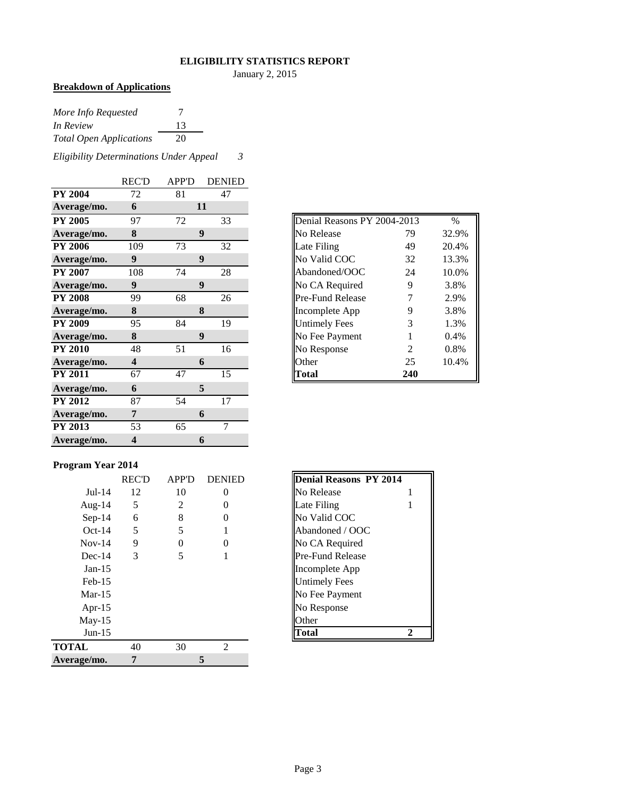## **ELIGIBILITY STATISTICS REPORT**

January 2, 2015

# **Breakdown of Applications**

| More Info Requested            | 7  |
|--------------------------------|----|
| In Review                      | 13 |
| <b>Total Open Applications</b> | 20 |

*Eligibility Determinations Under Appeal 3*

|                | <b>REC'D</b>            | <b>APP'D</b> | <b>DENIED</b>   |
|----------------|-------------------------|--------------|-----------------|
| <b>PY 2004</b> | 72                      | 81           | 47              |
| Average/mo.    | 6                       |              | 11              |
| <b>PY 2005</b> | 97                      | 72           | 33              |
| Average/mo.    | 8                       |              | 9               |
| <b>PY 2006</b> | 109                     | 73           | 32              |
| Average/mo.    | 9                       |              | 9               |
| <b>PY 2007</b> | 108                     | 74           | 28              |
| Average/mo.    | $\boldsymbol{9}$        |              | 9               |
| <b>PY 2008</b> | 99                      | 68           | 26              |
| Average/mo.    | 8                       |              | 8               |
| <b>PY 2009</b> | 95                      | 84           | 19              |
| Average/mo.    | 8                       |              | 9               |
| <b>PY 2010</b> | 48                      | 51           | 16              |
| Average/mo.    | $\overline{\mathbf{4}}$ |              | 6               |
| <b>PY 2011</b> | 67                      | 47           | $\overline{15}$ |
| Average/mo.    | 6                       |              | 5               |
| <b>PY 2012</b> | 87                      | 54           | 17              |
| Average/mo.    | 7                       |              | 6               |
| <b>PY 2013</b> | 53                      | 65           | 7               |
| Average/mo.    | 4                       |              | 6               |

|                      | Denial Reasons PY 2004-2013<br>$\%$ |       |  |  |  |  |  |  |  |
|----------------------|-------------------------------------|-------|--|--|--|--|--|--|--|
| No Release           | 79                                  | 32.9% |  |  |  |  |  |  |  |
| Late Filing          | 49                                  | 20.4% |  |  |  |  |  |  |  |
| No Valid COC         | 32                                  | 13.3% |  |  |  |  |  |  |  |
| Abandoned/OOC        | 24                                  | 10.0% |  |  |  |  |  |  |  |
| No CA Required       | 9                                   | 3.8%  |  |  |  |  |  |  |  |
| Pre-Fund Release     | 7                                   | 2.9%  |  |  |  |  |  |  |  |
| Incomplete App       | 9                                   | 3.8%  |  |  |  |  |  |  |  |
| <b>Untimely Fees</b> | 3                                   | 1.3%  |  |  |  |  |  |  |  |
| No Fee Payment       | 1                                   | 0.4%  |  |  |  |  |  |  |  |
| No Response          | $\mathcal{D}$                       | 0.8%  |  |  |  |  |  |  |  |
| Other                | 25                                  | 10.4% |  |  |  |  |  |  |  |
| `otal                | 240                                 |       |  |  |  |  |  |  |  |

## **Program Year 2014**

|              | <b>REC'D</b> | <b>APP'D</b> | <b>DENIED</b>               | <b>Denial Reasons PY 2014</b> |
|--------------|--------------|--------------|-----------------------------|-------------------------------|
| $Jul-14$     | 12           | 10           | 0                           | No Release                    |
| Aug- $14$    | 5            | 2            |                             | Late Filing                   |
| $Sep-14$     | 6            | 8            | 0                           | No Valid COC                  |
| $Oct-14$     | 5            | 5            |                             | Abandoned / OOC               |
| $Nov-14$     | 9            | 0            | 0                           | No CA Required                |
| $Dec-14$     | 3            | 5            |                             | <b>Pre-Fund Release</b>       |
| $Jan-15$     |              |              |                             | Incomplete App                |
| $Feb-15$     |              |              |                             | <b>Untimely Fees</b>          |
| $Mar-15$     |              |              |                             | No Fee Payment                |
| Apr- $15$    |              |              |                             | No Response                   |
| $May-15$     |              |              |                             | Other                         |
| $Jun-15$     |              |              |                             | <b>Total</b>                  |
| <b>TOTAL</b> | 40           | 30           | $\mathcal{D}_{\mathcal{A}}$ |                               |
| Average/mo.  | 7            |              | 5                           |                               |
|              |              |              |                             |                               |

| Denial Reasons PY 2014 |   |
|------------------------|---|
| No Release             | 1 |
| Late Filing            |   |
| No Valid COC           |   |
| Abandoned / OOC        |   |
| No CA Required         |   |
| Pre-Fund Release       |   |
| Incomplete App         |   |
| Untimely Fees          |   |
| No Fee Payment         |   |
| No Response            |   |
| <b>Ither</b>           |   |
| rtal                   |   |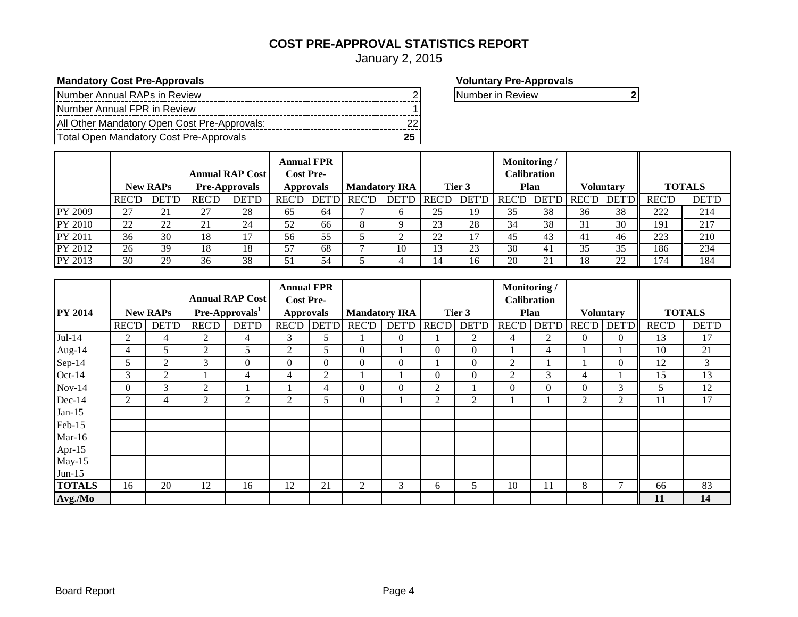# **COST PRE-APPROVAL STATISTICS REPORT**

January 2, 2015

**Mandatory Cost Pre-Approvals Voluntary Pre-Approvals** 

| Number Annual RAPs in Review                 |  |
|----------------------------------------------|--|
| Number Annual FPR in Review                  |  |
| All Other Mandatory Open Cost Pre-Approvals: |  |
| Total Open Mandatory Cost Pre-Approvals      |  |

**Number in Review 2 2 12** 

|         | <b>Annual RAP Cost</b><br><b>New RAPs</b><br><b>Pre-Approvals</b> |              |              | <b>Annual FPR</b><br><b>Cost Pre-</b><br><b>Mandatory IRA</b><br><b>Approvals</b> |              | Monitoring/<br><b>Calibration</b><br>Tier 3<br>Plan |              | Voluntarv    |               | <b>TOTALS</b> |       |    |             |               |              |              |
|---------|-------------------------------------------------------------------|--------------|--------------|-----------------------------------------------------------------------------------|--------------|-----------------------------------------------------|--------------|--------------|---------------|---------------|-------|----|-------------|---------------|--------------|--------------|
|         | <b>REC'D</b>                                                      | <b>DET'D</b> | <b>REC'D</b> | <b>DET'D</b>                                                                      | <b>REC'D</b> | <b>DET'DI</b>                                       | <b>REC'D</b> | <b>DET'D</b> | <b>IREC'D</b> | <b>DET'D</b>  | REC'D |    | DET'D REC'D | <b>DET'DI</b> | <b>REC'D</b> | <b>DET'D</b> |
| PY 2009 | 27                                                                | 21           | າາ           | 28                                                                                | 65           | 64                                                  |              | O            | 25            | 19            | 35    | 38 | 36          | 38            | 222          | 214          |
| PY 2010 | 22                                                                | 22           | 21           | 24                                                                                | 52           | 66                                                  | 8            |              | 23            | 28            | 34    | 38 | 31          | 30            | 191          | 217          |
| PY 2011 | 36                                                                | 30           | 18           |                                                                                   | 56           | 55                                                  |              |              | 22            |               | 45    | 43 | 41          | 46            | 223          | 210          |
| PY 2012 | 26                                                                | 39           | 18           | 18                                                                                | 57           | 68                                                  |              | 10           |               | 23            | 30    | 41 | 35          | 35            | 186          | 234          |
| PY 2013 | 30                                                                | 29           | 36           | 38                                                                                | 51           | 54                                                  |              | 4            | 14            | 16            | 20    | ∠⊥ | ι8.         | 22            | 174          | 184          |

|                |              |                 |              | <b>Annual RAP Cost</b>     | <b>Annual FPR</b> |                |                      |                |                |                  | Monitoring/        |          |                |                  |              |               |
|----------------|--------------|-----------------|--------------|----------------------------|-------------------|----------------|----------------------|----------------|----------------|------------------|--------------------|----------|----------------|------------------|--------------|---------------|
|                |              |                 |              |                            | <b>Cost Pre-</b>  |                |                      |                |                |                  | <b>Calibration</b> |          |                |                  |              |               |
| <b>PY 2014</b> |              | <b>New RAPs</b> |              | Pre-Approvals <sup>1</sup> | <b>Approvals</b>  |                | <b>Mandatory IRA</b> |                |                | Tier 3           |                    | Plan     |                | <b>Voluntary</b> |              | <b>TOTALS</b> |
|                | <b>REC'D</b> | <b>DET'D</b>    | <b>REC'D</b> | <b>DET'D</b>               | <b>REC'D</b>      |                | <b>DET'D</b> REC'D   | DET'D          | <b>REC'D</b>   | <b>DET'D</b>     | <b>REC'D DET'D</b> |          |                | REC'D DET'D      | <b>REC'D</b> | <b>DET'D</b>  |
| $Jul-14$       | 2            | 4               | 2            | 4                          | 3                 | 5              |                      | $\overline{0}$ |                | 2                | 4                  | 2        | $\overline{0}$ | $\overline{0}$   | 13           | 17            |
| Aug-14         | 4            | 5               | 2            | 5                          | $\overline{2}$    | 5              | $\overline{0}$       |                | $\mathbf{0}$   | $\theta$         |                    | 4        |                |                  | 10           | 21            |
| Sep-14         | 5            | $\overline{2}$  | 3            | $\Omega$                   | 0                 | $\Omega$       | $\overline{0}$       | $\overline{0}$ |                | $\overline{0}$   | 2                  |          |                | $\Omega$         | 12           | 3             |
| Oct-14         | 3            | 2               |              | $\overline{4}$             | 4                 | $\overline{2}$ |                      |                | $\mathbf{0}$   | $\boldsymbol{0}$ | 2                  | 3        | 4              |                  | 15           | 13            |
| $Nov-14$       | $\Omega$     | 3               | 2            |                            |                   | 4              | $\theta$             | $\theta$       | $\overline{2}$ |                  | $\Omega$           | $\Omega$ | $\Omega$       | 3                | 5            | 12            |
| Dec-14         | 2            | 4               | 2            | 2                          | 2                 | 5              | $\theta$             |                | 2              | $\overline{2}$   |                    |          | 2              | 2                | 11           | 17            |
| Jan- $15$      |              |                 |              |                            |                   |                |                      |                |                |                  |                    |          |                |                  |              |               |
| Feb-15         |              |                 |              |                            |                   |                |                      |                |                |                  |                    |          |                |                  |              |               |
| $Mar-16$       |              |                 |              |                            |                   |                |                      |                |                |                  |                    |          |                |                  |              |               |
| Apr-15         |              |                 |              |                            |                   |                |                      |                |                |                  |                    |          |                |                  |              |               |
| $May-15$       |              |                 |              |                            |                   |                |                      |                |                |                  |                    |          |                |                  |              |               |
| $Jun-15$       |              |                 |              |                            |                   |                |                      |                |                |                  |                    |          |                |                  |              |               |
| <b>TOTALS</b>  | 16           | 20              | 12           | 16                         | 12                | 21             | 2                    | 3              | 6              | 5                | 10                 | 11       | 8              | 7                | 66           | 83            |
| Avg./Mo        |              |                 |              |                            |                   |                |                      |                |                |                  |                    |          |                |                  | 11           | 14            |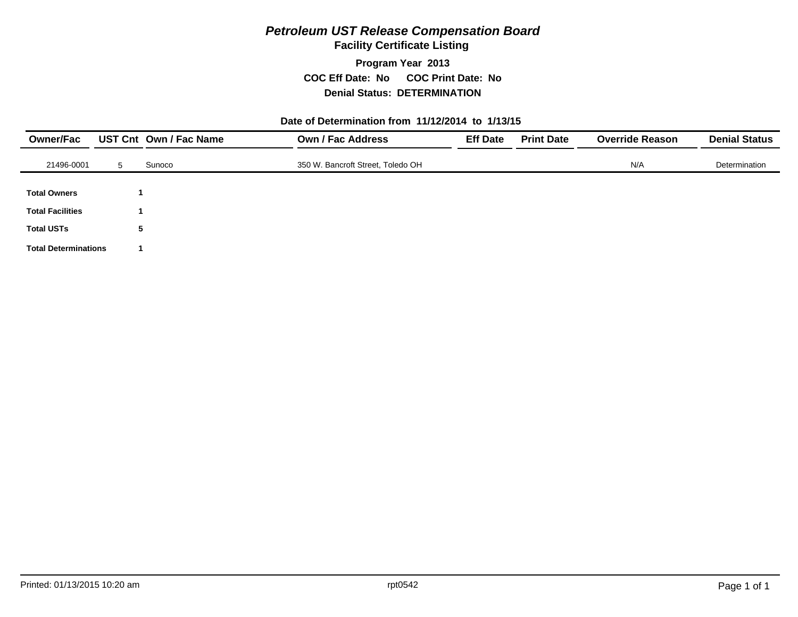# *Petroleum UST Release Compensation Board*

**Facility Certificate Listing**

**Program Year 2013 COC Eff Date: No COC Print Date: No Denial Status: DETERMINATION**

#### **Date of Determination from 11/12/2014 to 1/13/15**

| <b>Owner/Fac</b>            |   | UST Cnt Own / Fac Name | Own / Fac Address                 | <b>Eff Date</b> | <b>Print Date</b> | <b>Override Reason</b> | <b>Denial Status</b> |
|-----------------------------|---|------------------------|-----------------------------------|-----------------|-------------------|------------------------|----------------------|
| 21496-0001                  | 5 | Sunoco                 | 350 W. Bancroft Street, Toledo OH |                 |                   | N/A                    | Determination        |
| <b>Total Owners</b>         |   |                        |                                   |                 |                   |                        |                      |
| <b>Total Facilities</b>     |   |                        |                                   |                 |                   |                        |                      |
| <b>Total USTs</b>           | 5 |                        |                                   |                 |                   |                        |                      |
| <b>Total Determinations</b> |   |                        |                                   |                 |                   |                        |                      |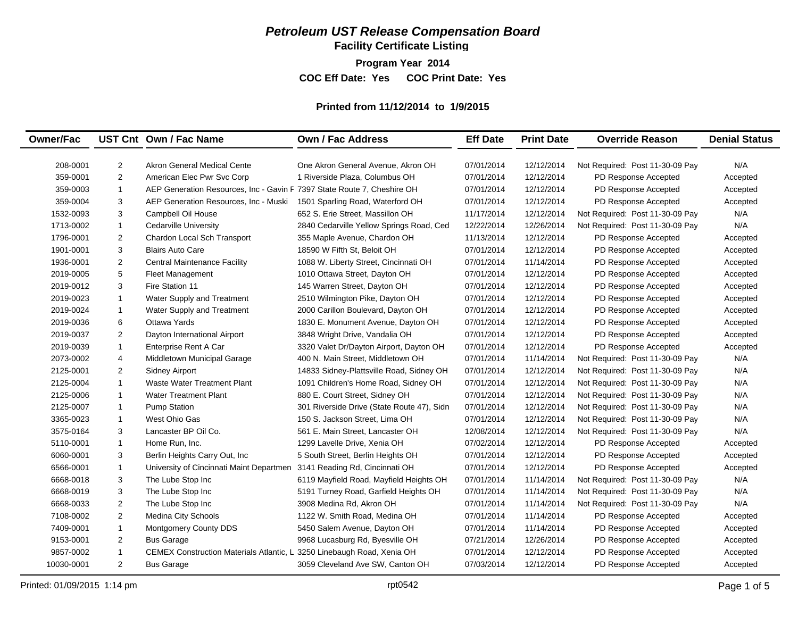# *Petroleum UST Release Compensation Board*

**Facility Certificate Listing**

**Program Year 2014 COC Eff Date: Yes COC Print Date: Yes** 

# **Printed from 11/12/2014 to 1/9/2015**

| <b>Owner/Fac</b> |                | UST Cnt Own / Fac Name                                                  | Own / Fac Address                          | <b>Eff Date</b> | <b>Print Date</b> | <b>Override Reason</b>          | <b>Denial Status</b> |  |
|------------------|----------------|-------------------------------------------------------------------------|--------------------------------------------|-----------------|-------------------|---------------------------------|----------------------|--|
|                  |                |                                                                         |                                            |                 |                   |                                 |                      |  |
| 208-0001         | 2              | Akron General Medical Cente                                             | One Akron General Avenue, Akron OH         | 07/01/2014      | 12/12/2014        | Not Required: Post 11-30-09 Pay | N/A                  |  |
| 359-0001         | 2              | American Elec Pwr Svc Corp                                              | 1 Riverside Plaza, Columbus OH             | 07/01/2014      | 12/12/2014        | PD Response Accepted            | Accepted             |  |
| 359-0003         | $\mathbf{1}$   | AEP Generation Resources, Inc - Gavin F 7397 State Route 7, Cheshire OH |                                            | 07/01/2014      | 12/12/2014        | PD Response Accepted            | Accepted             |  |
| 359-0004         | 3              | AEP Generation Resources, Inc - Muski                                   | 1501 Sparling Road, Waterford OH           | 07/01/2014      | 12/12/2014        | PD Response Accepted            | Accepted             |  |
| 1532-0093        | 3              | Campbell Oil House                                                      | 652 S. Erie Street, Massillon OH           | 11/17/2014      | 12/12/2014        | Not Required: Post 11-30-09 Pay | N/A                  |  |
| 1713-0002        | $\mathbf{1}$   | <b>Cedarville University</b>                                            | 2840 Cedarville Yellow Springs Road, Ced   | 12/22/2014      | 12/26/2014        | Not Required: Post 11-30-09 Pay | N/A                  |  |
| 1796-0001        | $\overline{c}$ | Chardon Local Sch Transport                                             | 355 Maple Avenue, Chardon OH               | 11/13/2014      | 12/12/2014        | PD Response Accepted            | Accepted             |  |
| 1901-0001        | 3              | <b>Blairs Auto Care</b>                                                 | 18590 W Fifth St, Beloit OH                | 07/01/2014      | 12/12/2014        | PD Response Accepted            | Accepted             |  |
| 1936-0001        | 2              | <b>Central Maintenance Facility</b>                                     | 1088 W. Liberty Street, Cincinnati OH      | 07/01/2014      | 11/14/2014        | PD Response Accepted            | Accepted             |  |
| 2019-0005        | 5              | <b>Fleet Management</b>                                                 | 1010 Ottawa Street, Dayton OH              | 07/01/2014      | 12/12/2014        | PD Response Accepted            | Accepted             |  |
| 2019-0012        | 3              | Fire Station 11                                                         | 145 Warren Street, Dayton OH               | 07/01/2014      | 12/12/2014        | PD Response Accepted            | Accepted             |  |
| 2019-0023        | $\mathbf{1}$   | Water Supply and Treatment                                              | 2510 Wilmington Pike, Dayton OH            | 07/01/2014      | 12/12/2014        | PD Response Accepted            | Accepted             |  |
| 2019-0024        | $\mathbf{1}$   | Water Supply and Treatment                                              | 2000 Carillon Boulevard, Dayton OH         | 07/01/2014      | 12/12/2014        | PD Response Accepted            | Accepted             |  |
| 2019-0036        | 6              | Ottawa Yards                                                            | 1830 E. Monument Avenue, Dayton OH         | 07/01/2014      | 12/12/2014        | PD Response Accepted            | Accepted             |  |
| 2019-0037        | 2              | Dayton International Airport                                            | 3848 Wright Drive, Vandalia OH             | 07/01/2014      | 12/12/2014        | PD Response Accepted            | Accepted             |  |
| 2019-0039        | $\mathbf{1}$   | <b>Enterprise Rent A Car</b>                                            | 3320 Valet Dr/Dayton Airport, Dayton OH    | 07/01/2014      | 12/12/2014        | PD Response Accepted            | Accepted             |  |
| 2073-0002        | 4              | Middletown Municipal Garage                                             | 400 N. Main Street, Middletown OH          | 07/01/2014      | 11/14/2014        | Not Required: Post 11-30-09 Pay | N/A                  |  |
| 2125-0001        | 2              | <b>Sidney Airport</b>                                                   | 14833 Sidney-Plattsville Road, Sidney OH   | 07/01/2014      | 12/12/2014        | Not Required: Post 11-30-09 Pay | N/A                  |  |
| 2125-0004        | $\overline{1}$ | Waste Water Treatment Plant                                             | 1091 Children's Home Road, Sidney OH       | 07/01/2014      | 12/12/2014        | Not Required: Post 11-30-09 Pay | N/A                  |  |
| 2125-0006        | $\mathbf{1}$   | <b>Water Treatment Plant</b>                                            | 880 E. Court Street, Sidney OH             | 07/01/2014      | 12/12/2014        | Not Required: Post 11-30-09 Pay | N/A                  |  |
| 2125-0007        | $\overline{1}$ | <b>Pump Station</b>                                                     | 301 Riverside Drive (State Route 47), Sidn | 07/01/2014      | 12/12/2014        | Not Required: Post 11-30-09 Pay | N/A                  |  |
| 3365-0023        | $\mathbf{1}$   | West Ohio Gas                                                           | 150 S. Jackson Street, Lima OH             | 07/01/2014      | 12/12/2014        | Not Required: Post 11-30-09 Pay | N/A                  |  |
| 3575-0164        | 3              | Lancaster BP Oil Co.                                                    | 561 E. Main Street, Lancaster OH           | 12/08/2014      | 12/12/2014        | Not Required: Post 11-30-09 Pay | N/A                  |  |
| 5110-0001        | $\mathbf{1}$   | Home Run, Inc.                                                          | 1299 Lavelle Drive, Xenia OH               | 07/02/2014      | 12/12/2014        | PD Response Accepted            | Accepted             |  |
| 6060-0001        | 3              | Berlin Heights Carry Out, Inc.                                          | 5 South Street, Berlin Heights OH          | 07/01/2014      | 12/12/2014        | PD Response Accepted            | Accepted             |  |
| 6566-0001        | $\mathbf{1}$   | University of Cincinnati Maint Departmen                                | 3141 Reading Rd, Cincinnati OH             | 07/01/2014      | 12/12/2014        | PD Response Accepted            | Accepted             |  |
| 6668-0018        | 3              | The Lube Stop Inc                                                       | 6119 Mayfield Road, Mayfield Heights OH    | 07/01/2014      | 11/14/2014        | Not Required: Post 11-30-09 Pay | N/A                  |  |
| 6668-0019        | 3              | The Lube Stop Inc                                                       | 5191 Turney Road, Garfield Heights OH      | 07/01/2014      | 11/14/2014        | Not Required: Post 11-30-09 Pay | N/A                  |  |
| 6668-0033        | $\overline{2}$ | The Lube Stop Inc                                                       | 3908 Medina Rd, Akron OH                   | 07/01/2014      | 11/14/2014        | Not Required: Post 11-30-09 Pay | N/A                  |  |
| 7108-0002        | $\overline{2}$ | <b>Medina City Schools</b>                                              | 1122 W. Smith Road, Medina OH              | 07/01/2014      | 11/14/2014        | PD Response Accepted            | Accepted             |  |
| 7409-0001        | $\mathbf{1}$   | Montgomery County DDS                                                   | 5450 Salem Avenue, Dayton OH               | 07/01/2014      | 11/14/2014        | PD Response Accepted            | Accepted             |  |
| 9153-0001        | $\overline{2}$ | <b>Bus Garage</b>                                                       | 9968 Lucasburg Rd, Byesville OH            | 07/21/2014      | 12/26/2014        | PD Response Accepted            | Accepted             |  |
| 9857-0002        | $\mathbf{1}$   | CEMEX Construction Materials Atlantic, L 3250 Linebaugh Road, Xenia OH  |                                            | 07/01/2014      | 12/12/2014        | PD Response Accepted            | Accepted             |  |
| 10030-0001       | $\overline{2}$ | <b>Bus Garage</b>                                                       | 3059 Cleveland Ave SW, Canton OH           | 07/03/2014      | 12/12/2014        | PD Response Accepted            | Accepted             |  |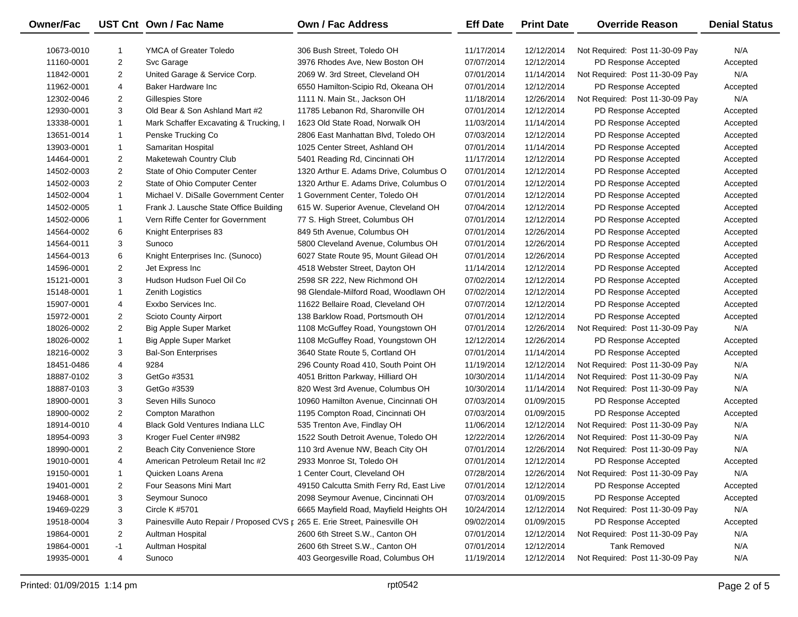| Owner/Fac  |                | UST Cnt Own / Fac Name                   | Own / Fac Address                        | <b>Eff Date</b> | <b>Print Date</b> | <b>Override Reason</b>          | <b>Denial Status</b> |  |
|------------|----------------|------------------------------------------|------------------------------------------|-----------------|-------------------|---------------------------------|----------------------|--|
| 10673-0010 |                | YMCA of Greater Toledo                   | 306 Bush Street, Toledo OH               | 11/17/2014      | 12/12/2014        | Not Required: Post 11-30-09 Pay | N/A                  |  |
| 11160-0001 | $\overline{2}$ | Svc Garage                               | 3976 Rhodes Ave, New Boston OH           | 07/07/2014      | 12/12/2014        | PD Response Accepted            | Accepted             |  |
| 11842-0001 | $\overline{2}$ | United Garage & Service Corp.            | 2069 W. 3rd Street, Cleveland OH         | 07/01/2014      | 11/14/2014        | Not Required: Post 11-30-09 Pay | N/A                  |  |
| 11962-0001 | 4              | Baker Hardware Inc                       | 6550 Hamilton-Scipio Rd, Okeana OH       | 07/01/2014      | 12/12/2014        | PD Response Accepted            | Accepted             |  |
| 12302-0046 | $\overline{2}$ | <b>Gillespies Store</b>                  | 1111 N. Main St., Jackson OH             | 11/18/2014      | 12/26/2014        | Not Required: Post 11-30-09 Pay | N/A                  |  |
| 12930-0001 | 3              | Old Bear & Son Ashland Mart #2           | 11785 Lebanon Rd, Sharonville OH         | 07/01/2014      | 12/12/2014        | PD Response Accepted            | Accepted             |  |
| 13338-0001 | $\mathbf{1}$   | Mark Schaffer Excavating & Trucking, I   | 1623 Old State Road, Norwalk OH          | 11/03/2014      | 11/14/2014        | PD Response Accepted            | Accepted             |  |
| 13651-0014 | 1              | Penske Trucking Co                       | 2806 East Manhattan Blvd, Toledo OH      | 07/03/2014      | 12/12/2014        | PD Response Accepted            | Accepted             |  |
| 13903-0001 | $\mathbf{1}$   | Samaritan Hospital                       | 1025 Center Street, Ashland OH           | 07/01/2014      | 11/14/2014        | PD Response Accepted            | Accepted             |  |
| 14464-0001 | $\overline{2}$ | Maketewah Country Club                   | 5401 Reading Rd, Cincinnati OH           | 11/17/2014      | 12/12/2014        | PD Response Accepted            | Accepted             |  |
| 14502-0003 | $\overline{2}$ | State of Ohio Computer Center            | 1320 Arthur E. Adams Drive, Columbus O   | 07/01/2014      | 12/12/2014        | PD Response Accepted            | Accepted             |  |
| 14502-0003 | $\overline{2}$ | State of Ohio Computer Center            | 1320 Arthur E. Adams Drive, Columbus O   | 07/01/2014      | 12/12/2014        | PD Response Accepted            | Accepted             |  |
| 14502-0004 | $\mathbf{1}$   | Michael V. DiSalle Government Center     | 1 Government Center, Toledo OH           | 07/01/2014      | 12/12/2014        | PD Response Accepted            | Accepted             |  |
| 14502-0005 | 1              | Frank J. Lausche State Office Building   | 615 W. Superior Avenue, Cleveland OH     | 07/04/2014      | 12/12/2014        | PD Response Accepted            | Accepted             |  |
| 14502-0006 | 1              | Vern Riffe Center for Government         | 77 S. High Street, Columbus OH           | 07/01/2014      | 12/12/2014        | PD Response Accepted            | Accepted             |  |
| 14564-0002 | 6              | Knight Enterprises 83                    | 849 5th Avenue, Columbus OH              | 07/01/2014      | 12/26/2014        | PD Response Accepted            | Accepted             |  |
| 14564-0011 | 3              | Sunoco                                   | 5800 Cleveland Avenue, Columbus OH       | 07/01/2014      | 12/26/2014        | PD Response Accepted            | Accepted             |  |
| 14564-0013 | 6              | Knight Enterprises Inc. (Sunoco)         | 6027 State Route 95, Mount Gilead OH     | 07/01/2014      | 12/26/2014        | PD Response Accepted            | Accepted             |  |
| 14596-0001 | $\overline{2}$ | Jet Express Inc                          | 4518 Webster Street, Dayton OH           | 11/14/2014      | 12/12/2014        | PD Response Accepted            | Accepted             |  |
| 15121-0001 | 3              | Hudson Hudson Fuel Oil Co                | 2598 SR 222, New Richmond OH             | 07/02/2014      | 12/12/2014        | PD Response Accepted            | Accepted             |  |
| 15148-0001 | $\mathbf{1}$   | Zenith Logistics                         | 98 Glendale-Milford Road, Woodlawn OH    | 07/02/2014      | 12/12/2014        | PD Response Accepted            | Accepted             |  |
| 15907-0001 | 4              | Exxbo Services Inc.                      | 11622 Bellaire Road, Cleveland OH        | 07/07/2014      | 12/12/2014        | PD Response Accepted            | Accepted             |  |
| 15972-0001 | $\overline{2}$ | Scioto County Airport                    | 138 Barklow Road, Portsmouth OH          | 07/01/2014      | 12/12/2014        | PD Response Accepted            | Accepted             |  |
| 18026-0002 | $\overline{2}$ | <b>Big Apple Super Market</b>            | 1108 McGuffey Road, Youngstown OH        | 07/01/2014      | 12/26/2014        | Not Required: Post 11-30-09 Pay | N/A                  |  |
| 18026-0002 | $\mathbf{1}$   | <b>Big Apple Super Market</b>            | 1108 McGuffey Road, Youngstown OH        | 12/12/2014      | 12/26/2014        | PD Response Accepted            | Accepted             |  |
| 18216-0002 | 3              | <b>Bal-Son Enterprises</b>               | 3640 State Route 5, Cortland OH          | 07/01/2014      | 11/14/2014        | PD Response Accepted            | Accepted             |  |
| 18451-0486 | 4              | 9284                                     | 296 County Road 410, South Point OH      | 11/19/2014      | 12/12/2014        | Not Required: Post 11-30-09 Pay | N/A                  |  |
| 18887-0102 | 3              | GetGo #3531                              | 4051 Britton Parkway, Hilliard OH        | 10/30/2014      | 11/14/2014        | Not Required: Post 11-30-09 Pay | N/A                  |  |
| 18887-0103 | 3              | GetGo #3539                              | 820 West 3rd Avenue, Columbus OH         | 10/30/2014      | 11/14/2014        | Not Required: Post 11-30-09 Pay | N/A                  |  |
| 18900-0001 | 3              | Seven Hills Sunoco                       | 10960 Hamilton Avenue, Cincinnati OH     | 07/03/2014      | 01/09/2015        | PD Response Accepted            | Accepted             |  |
| 18900-0002 | $\overline{2}$ | Compton Marathon                         | 1195 Compton Road, Cincinnati OH         | 07/03/2014      | 01/09/2015        | PD Response Accepted            | Accepted             |  |
| 18914-0010 | 4              | <b>Black Gold Ventures Indiana LLC</b>   | 535 Trenton Ave, Findlay OH              | 11/06/2014      | 12/12/2014        | Not Required: Post 11-30-09 Pay | N/A                  |  |
| 18954-0093 | 3              | Kroger Fuel Center #N982                 | 1522 South Detroit Avenue, Toledo OH     | 12/22/2014      | 12/26/2014        | Not Required: Post 11-30-09 Pay | N/A                  |  |
| 18990-0001 | $\overline{2}$ | Beach City Convenience Store             | 110 3rd Avenue NW, Beach City OH         | 07/01/2014      | 12/26/2014        | Not Required: Post 11-30-09 Pay | N/A                  |  |
| 19010-0001 | 4              | American Petroleum Retail Inc #2         | 2933 Monroe St, Toledo OH                | 07/01/2014      | 12/12/2014        | PD Response Accepted            | Accepted             |  |
| 19150-0001 | -1             | Quicken Loans Arena                      | 1 Center Court, Cleveland OH             | 07/28/2014      | 12/26/2014        | Not Required: Post 11-30-09 Pay | N/A                  |  |
| 19401-0001 | $\overline{2}$ | Four Seasons Mini Mart                   | 49150 Calcutta Smith Ferry Rd, East Live | 07/01/2014      | 12/12/2014        | PD Response Accepted            | Accepted             |  |
| 19468-0001 | 3              | Seymour Sunoco                           | 2098 Seymour Avenue, Cincinnati OH       | 07/03/2014      | 01/09/2015        | PD Response Accepted            | Accepted             |  |
| 19469-0229 | 3              | Circle K #5701                           | 6665 Mayfield Road, Mayfield Heights OH  | 10/24/2014      | 12/12/2014        | Not Required: Post 11-30-09 Pay | N/A                  |  |
| 19518-0004 | 3              | Painesville Auto Repair / Proposed CVS p | 265 E. Erie Street, Painesville OH       | 09/02/2014      | 01/09/2015        | PD Response Accepted            | Accepted             |  |
| 19864-0001 | $\overline{2}$ | Aultman Hospital                         | 2600 6th Street S.W., Canton OH          | 07/01/2014      | 12/12/2014        | Not Required: Post 11-30-09 Pay | N/A                  |  |
| 19864-0001 | $-1$           | Aultman Hospital                         | 2600 6th Street S.W., Canton OH          | 07/01/2014      | 12/12/2014        | <b>Tank Removed</b>             | N/A                  |  |
| 19935-0001 | 4              | Sunoco                                   | 403 Georgesville Road, Columbus OH       | 11/19/2014      | 12/12/2014        | Not Required: Post 11-30-09 Pay | N/A                  |  |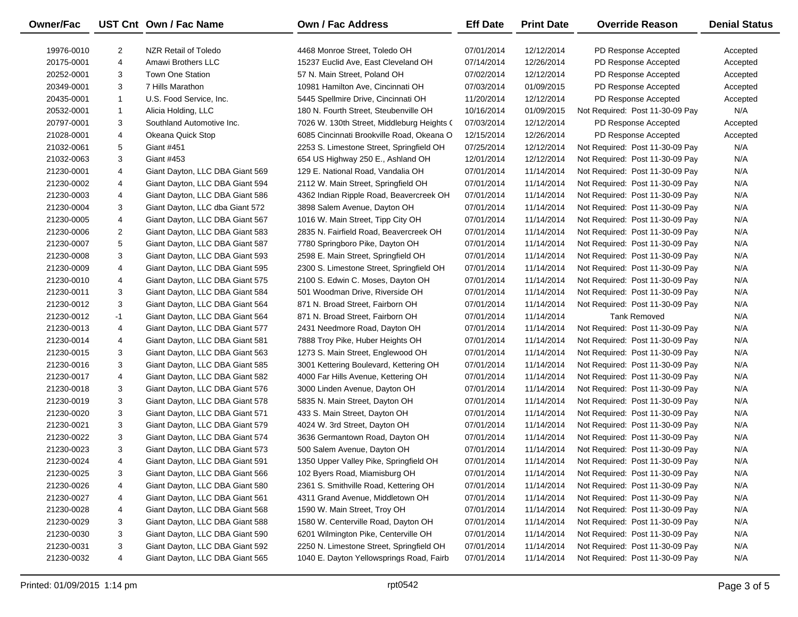| Owner/Fac  |                | UST Cnt Own / Fac Name          | <b>Own / Fac Address</b>                   | <b>Eff Date</b> | <b>Print Date</b> | <b>Override Reason</b>          | <b>Denial Status</b> |
|------------|----------------|---------------------------------|--------------------------------------------|-----------------|-------------------|---------------------------------|----------------------|
| 19976-0010 | 2              | NZR Retail of Toledo            | 4468 Monroe Street, Toledo OH              | 07/01/2014      | 12/12/2014        | PD Response Accepted            | Accepted             |
| 20175-0001 | 4              | Amawi Brothers LLC              | 15237 Euclid Ave, East Cleveland OH        | 07/14/2014      | 12/26/2014        | PD Response Accepted            | Accepted             |
| 20252-0001 | 3              | <b>Town One Station</b>         | 57 N. Main Street, Poland OH               | 07/02/2014      | 12/12/2014        | PD Response Accepted            | Accepted             |
| 20349-0001 | 3              | 7 Hills Marathon                | 10981 Hamilton Ave, Cincinnati OH          | 07/03/2014      | 01/09/2015        | PD Response Accepted            | Accepted             |
| 20435-0001 | $\mathbf{1}$   | U.S. Food Service, Inc.         | 5445 Spellmire Drive, Cincinnati OH        | 11/20/2014      | 12/12/2014        | PD Response Accepted            | Accepted             |
| 20532-0001 | $\mathbf{1}$   | Alicia Holding, LLC             | 180 N. Fourth Street, Steubenville OH      | 10/16/2014      | 01/09/2015        | Not Required: Post 11-30-09 Pay | N/A                  |
| 20797-0001 | 3              | Southland Automotive Inc.       | 7026 W. 130th Street, Middleburg Heights ( | 07/03/2014      | 12/12/2014        | PD Response Accepted            | Accepted             |
| 21028-0001 | 4              | Okeana Quick Stop               | 6085 Cincinnati Brookville Road, Okeana O  | 12/15/2014      | 12/26/2014        | PD Response Accepted            | Accepted             |
| 21032-0061 | 5              | Giant #451                      | 2253 S. Limestone Street, Springfield OH   | 07/25/2014      | 12/12/2014        | Not Required: Post 11-30-09 Pay | N/A                  |
| 21032-0063 | 3              | Giant #453                      | 654 US Highway 250 E., Ashland OH          | 12/01/2014      | 12/12/2014        | Not Required: Post 11-30-09 Pay | N/A                  |
| 21230-0001 | 4              | Giant Dayton, LLC DBA Giant 569 | 129 E. National Road, Vandalia OH          | 07/01/2014      | 11/14/2014        | Not Required: Post 11-30-09 Pay | N/A                  |
| 21230-0002 | 4              | Giant Dayton, LLC DBA Giant 594 | 2112 W. Main Street, Springfield OH        | 07/01/2014      | 11/14/2014        | Not Required: Post 11-30-09 Pay | N/A                  |
| 21230-0003 | 4              | Giant Dayton, LLC DBA Giant 586 | 4362 Indian Ripple Road, Beavercreek OH    | 07/01/2014      | 11/14/2014        | Not Required: Post 11-30-09 Pay | N/A                  |
| 21230-0004 | 3              | Giant Dayton, LLC dba Giant 572 | 3898 Salem Avenue, Dayton OH               | 07/01/2014      | 11/14/2014        | Not Required: Post 11-30-09 Pay | N/A                  |
| 21230-0005 | 4              | Giant Dayton, LLC DBA Giant 567 | 1016 W. Main Street, Tipp City OH          | 07/01/2014      | 11/14/2014        | Not Required: Post 11-30-09 Pay | N/A                  |
| 21230-0006 | $\overline{2}$ | Giant Dayton, LLC DBA Giant 583 | 2835 N. Fairfield Road, Beavercreek OH     | 07/01/2014      | 11/14/2014        | Not Required: Post 11-30-09 Pay | N/A                  |
| 21230-0007 | 5              | Giant Dayton, LLC DBA Giant 587 | 7780 Springboro Pike, Dayton OH            | 07/01/2014      | 11/14/2014        | Not Required: Post 11-30-09 Pay | N/A                  |
| 21230-0008 | 3              | Giant Dayton, LLC DBA Giant 593 | 2598 E. Main Street, Springfield OH        | 07/01/2014      | 11/14/2014        | Not Required: Post 11-30-09 Pay | N/A                  |
| 21230-0009 | 4              | Giant Dayton, LLC DBA Giant 595 | 2300 S. Limestone Street, Springfield OH   | 07/01/2014      | 11/14/2014        | Not Required: Post 11-30-09 Pay | N/A                  |
| 21230-0010 | 4              | Giant Dayton, LLC DBA Giant 575 | 2100 S. Edwin C. Moses, Dayton OH          | 07/01/2014      | 11/14/2014        | Not Required: Post 11-30-09 Pay | N/A                  |
| 21230-0011 | 3              | Giant Dayton, LLC DBA Giant 584 | 501 Woodman Drive, Riverside OH            | 07/01/2014      | 11/14/2014        | Not Required: Post 11-30-09 Pay | N/A                  |
| 21230-0012 | 3              | Giant Dayton, LLC DBA Giant 564 | 871 N. Broad Street, Fairborn OH           | 07/01/2014      | 11/14/2014        | Not Required: Post 11-30-09 Pay | N/A                  |
| 21230-0012 | -1             | Giant Dayton, LLC DBA Giant 564 | 871 N. Broad Street, Fairborn OH           | 07/01/2014      | 11/14/2014        | <b>Tank Removed</b>             | N/A                  |
| 21230-0013 | 4              | Giant Dayton, LLC DBA Giant 577 | 2431 Needmore Road, Dayton OH              | 07/01/2014      | 11/14/2014        | Not Required: Post 11-30-09 Pay | N/A                  |
| 21230-0014 | 4              | Giant Dayton, LLC DBA Giant 581 | 7888 Troy Pike, Huber Heights OH           | 07/01/2014      | 11/14/2014        | Not Required: Post 11-30-09 Pay | N/A                  |
| 21230-0015 | 3              | Giant Dayton, LLC DBA Giant 563 | 1273 S. Main Street, Englewood OH          | 07/01/2014      | 11/14/2014        | Not Required: Post 11-30-09 Pay | N/A                  |
| 21230-0016 | 3              | Giant Dayton, LLC DBA Giant 585 | 3001 Kettering Boulevard, Kettering OH     | 07/01/2014      | 11/14/2014        | Not Required: Post 11-30-09 Pay | N/A                  |
| 21230-0017 | 4              | Giant Dayton, LLC DBA Giant 582 | 4000 Far Hills Avenue, Kettering OH        | 07/01/2014      | 11/14/2014        | Not Required: Post 11-30-09 Pay | N/A                  |
| 21230-0018 | 3              | Giant Dayton, LLC DBA Giant 576 | 3000 Linden Avenue, Dayton OH              | 07/01/2014      | 11/14/2014        | Not Required: Post 11-30-09 Pay | N/A                  |
| 21230-0019 | 3              | Giant Dayton, LLC DBA Giant 578 | 5835 N. Main Street, Dayton OH             | 07/01/2014      | 11/14/2014        | Not Required: Post 11-30-09 Pay | N/A                  |
| 21230-0020 | 3              | Giant Dayton, LLC DBA Giant 571 | 433 S. Main Street, Dayton OH              | 07/01/2014      | 11/14/2014        | Not Required: Post 11-30-09 Pay | N/A                  |
| 21230-0021 | 3              | Giant Dayton, LLC DBA Giant 579 | 4024 W. 3rd Street, Dayton OH              | 07/01/2014      | 11/14/2014        | Not Required: Post 11-30-09 Pay | N/A                  |
| 21230-0022 | 3              | Giant Dayton, LLC DBA Giant 574 | 3636 Germantown Road, Dayton OH            | 07/01/2014      | 11/14/2014        | Not Required: Post 11-30-09 Pay | N/A                  |
| 21230-0023 | 3              | Giant Dayton, LLC DBA Giant 573 | 500 Salem Avenue, Dayton OH                | 07/01/2014      | 11/14/2014        | Not Required: Post 11-30-09 Pay | N/A                  |
| 21230-0024 | 4              | Giant Dayton, LLC DBA Giant 591 | 1350 Upper Valley Pike, Springfield OH     | 07/01/2014      | 11/14/2014        | Not Required: Post 11-30-09 Pay | N/A                  |
| 21230-0025 | 3              | Giant Dayton, LLC DBA Giant 566 | 102 Byers Road, Miamisburg OH              | 07/01/2014      | 11/14/2014        | Not Required: Post 11-30-09 Pay | N/A                  |
| 21230-0026 | 4              | Giant Dayton, LLC DBA Giant 580 | 2361 S. Smithville Road, Kettering OH      | 07/01/2014      | 11/14/2014        | Not Required: Post 11-30-09 Pay | N/A                  |
| 21230-0027 | 4              | Giant Dayton, LLC DBA Giant 561 | 4311 Grand Avenue, Middletown OH           | 07/01/2014      | 11/14/2014        | Not Required: Post 11-30-09 Pay | N/A                  |
| 21230-0028 | 4              | Giant Dayton, LLC DBA Giant 568 | 1590 W. Main Street, Troy OH               | 07/01/2014      | 11/14/2014        | Not Required: Post 11-30-09 Pay | N/A                  |
| 21230-0029 | 3              | Giant Dayton, LLC DBA Giant 588 | 1580 W. Centerville Road, Dayton OH        | 07/01/2014      | 11/14/2014        | Not Required: Post 11-30-09 Pay | N/A                  |
| 21230-0030 | 3              | Giant Dayton, LLC DBA Giant 590 | 6201 Wilmington Pike, Centerville OH       | 07/01/2014      | 11/14/2014        | Not Required: Post 11-30-09 Pay | N/A                  |
| 21230-0031 | 3              | Giant Dayton, LLC DBA Giant 592 | 2250 N. Limestone Street, Springfield OH   | 07/01/2014      | 11/14/2014        | Not Required: Post 11-30-09 Pay | N/A                  |
| 21230-0032 | 4              | Giant Dayton, LLC DBA Giant 565 | 1040 E. Dayton Yellowsprings Road, Fairb   | 07/01/2014      | 11/14/2014        | Not Required: Post 11-30-09 Pay | N/A                  |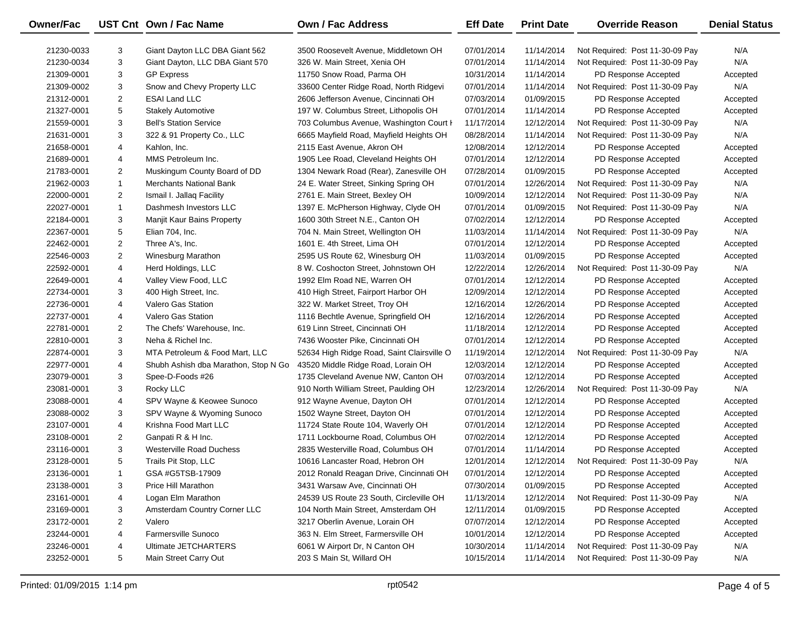| <b>Owner/Fac</b> |                | UST Cnt Own / Fac Name               | <b>Own / Fac Address</b>                   | <b>Eff Date</b> | <b>Print Date</b> | <b>Override Reason</b>          | <b>Denial Status</b> |
|------------------|----------------|--------------------------------------|--------------------------------------------|-----------------|-------------------|---------------------------------|----------------------|
| 21230-0033       | 3              | Giant Dayton LLC DBA Giant 562       | 3500 Roosevelt Avenue, Middletown OH       | 07/01/2014      | 11/14/2014        | Not Required: Post 11-30-09 Pay | N/A                  |
| 21230-0034       | 3              | Giant Dayton, LLC DBA Giant 570      | 326 W. Main Street, Xenia OH               | 07/01/2014      | 11/14/2014        | Not Required: Post 11-30-09 Pay | N/A                  |
| 21309-0001       | 3              | <b>GP Express</b>                    | 11750 Snow Road, Parma OH                  | 10/31/2014      | 11/14/2014        | PD Response Accepted            | Accepted             |
| 21309-0002       | 3              | Snow and Chevy Property LLC          | 33600 Center Ridge Road, North Ridgevi     | 07/01/2014      | 11/14/2014        | Not Required: Post 11-30-09 Pay | N/A                  |
| 21312-0001       | $\overline{2}$ | <b>ESAI Land LLC</b>                 | 2606 Jefferson Avenue, Cincinnati OH       | 07/03/2014      | 01/09/2015        | PD Response Accepted            | Accepted             |
| 21327-0001       | 5              | <b>Stakely Automotive</b>            | 197 W. Columbus Street, Lithopolis OH      | 07/01/2014      | 11/14/2014        | PD Response Accepted            | Accepted             |
| 21559-0001       | 3              | <b>Bell's Station Service</b>        | 703 Columbus Avenue, Washington Court I    | 11/17/2014      | 12/12/2014        | Not Required: Post 11-30-09 Pay | N/A                  |
| 21631-0001       | 3              | 322 & 91 Property Co., LLC           | 6665 Mayfield Road, Mayfield Heights OH    | 08/28/2014      | 11/14/2014        | Not Required: Post 11-30-09 Pay | N/A                  |
| 21658-0001       | 4              | Kahlon, Inc.                         | 2115 East Avenue, Akron OH                 | 12/08/2014      | 12/12/2014        | PD Response Accepted            | Accepted             |
| 21689-0001       | 4              | MMS Petroleum Inc.                   | 1905 Lee Road, Cleveland Heights OH        | 07/01/2014      | 12/12/2014        | PD Response Accepted            | Accepted             |
| 21783-0001       | $\overline{2}$ | Muskingum County Board of DD         | 1304 Newark Road (Rear), Zanesville OH     | 07/28/2014      | 01/09/2015        | PD Response Accepted            | Accepted             |
| 21962-0003       | $\mathbf{1}$   | <b>Merchants National Bank</b>       | 24 E. Water Street, Sinking Spring OH      | 07/01/2014      | 12/26/2014        | Not Required: Post 11-30-09 Pay | N/A                  |
| 22000-0001       | $\overline{2}$ | Ismail I. Jallaq Facility            | 2761 E. Main Street, Bexley OH             | 10/09/2014      | 12/12/2014        | Not Required: Post 11-30-09 Pay | N/A                  |
| 22027-0001       | $\mathbf{1}$   | Dashmesh Investors LLC               | 1397 E. McPherson Highway, Clyde OH        | 07/01/2014      | 01/09/2015        | Not Required: Post 11-30-09 Pay | N/A                  |
| 22184-0001       | 3              | Manjit Kaur Bains Property           | 1600 30th Street N.E., Canton OH           | 07/02/2014      | 12/12/2014        | PD Response Accepted            | Accepted             |
| 22367-0001       | 5              | Elian 704, Inc.                      | 704 N. Main Street, Wellington OH          | 11/03/2014      | 11/14/2014        | Not Required: Post 11-30-09 Pay | N/A                  |
| 22462-0001       | $\overline{2}$ | Three A's, Inc.                      | 1601 E. 4th Street, Lima OH                | 07/01/2014      | 12/12/2014        | PD Response Accepted            | Accepted             |
| 22546-0003       | $\overline{2}$ | Winesburg Marathon                   | 2595 US Route 62, Winesburg OH             | 11/03/2014      | 01/09/2015        | PD Response Accepted            | Accepted             |
| 22592-0001       | 4              | Herd Holdings, LLC                   | 8 W. Coshocton Street, Johnstown OH        | 12/22/2014      | 12/26/2014        | Not Required: Post 11-30-09 Pay | N/A                  |
| 22649-0001       | 4              | Valley View Food, LLC                | 1992 Elm Road NE, Warren OH                | 07/01/2014      | 12/12/2014        | PD Response Accepted            | Accepted             |
| 22734-0001       | 3              | 400 High Street, Inc.                | 410 High Street, Fairport Harbor OH        | 12/09/2014      | 12/12/2014        | PD Response Accepted            | Accepted             |
| 22736-0001       | 4              | Valero Gas Station                   | 322 W. Market Street, Troy OH              | 12/16/2014      | 12/26/2014        | PD Response Accepted            | Accepted             |
| 22737-0001       | 4              | <b>Valero Gas Station</b>            | 1116 Bechtle Avenue, Springfield OH        | 12/16/2014      | 12/26/2014        | PD Response Accepted            | Accepted             |
| 22781-0001       | 2              | The Chefs' Warehouse, Inc.           | 619 Linn Street, Cincinnati OH             | 11/18/2014      | 12/12/2014        | PD Response Accepted            | Accepted             |
| 22810-0001       | 3              | Neha & Richel Inc.                   | 7436 Wooster Pike, Cincinnati OH           | 07/01/2014      | 12/12/2014        | PD Response Accepted            | Accepted             |
| 22874-0001       | 3              | MTA Petroleum & Food Mart, LLC       | 52634 High Ridge Road, Saint Clairsville O | 11/19/2014      | 12/12/2014        | Not Required: Post 11-30-09 Pay | N/A                  |
| 22977-0001       | 4              | Shubh Ashish dba Marathon, Stop N Go | 43520 Middle Ridge Road, Lorain OH         | 12/03/2014      | 12/12/2014        | PD Response Accepted            | Accepted             |
| 23079-0001       | 3              | Spee-D-Foods #26                     | 1735 Cleveland Avenue NW, Canton OH        | 07/03/2014      | 12/12/2014        | PD Response Accepted            | Accepted             |
| 23081-0001       | 3              | Rocky LLC                            | 910 North William Street, Paulding OH      | 12/23/2014      | 12/26/2014        | Not Required: Post 11-30-09 Pay | N/A                  |
| 23088-0001       | 4              | SPV Wayne & Keowee Sunoco            | 912 Wayne Avenue, Dayton OH                | 07/01/2014      | 12/12/2014        | PD Response Accepted            | Accepted             |
| 23088-0002       | 3              | SPV Wayne & Wyoming Sunoco           | 1502 Wayne Street, Dayton OH               | 07/01/2014      | 12/12/2014        | PD Response Accepted            | Accepted             |
| 23107-0001       | 4              | Krishna Food Mart LLC                | 11724 State Route 104, Waverly OH          | 07/01/2014      | 12/12/2014        | PD Response Accepted            | Accepted             |
| 23108-0001       | $\overline{2}$ | Ganpati R & H Inc.                   | 1711 Lockbourne Road, Columbus OH          | 07/02/2014      | 12/12/2014        | PD Response Accepted            | Accepted             |
| 23116-0001       | 3              | <b>Westerville Road Duchess</b>      | 2835 Westerville Road, Columbus OH         | 07/01/2014      | 11/14/2014        | PD Response Accepted            | Accepted             |
| 23128-0001       | 5              | Trails Pit Stop, LLC                 | 10616 Lancaster Road, Hebron OH            | 12/01/2014      | 12/12/2014        | Not Required: Post 11-30-09 Pay | N/A                  |
| 23136-0001       | $\mathbf{1}$   | GSA #G5TSB-17909                     | 2012 Ronald Reagan Drive, Cincinnati OH    | 07/01/2014      | 12/12/2014        | PD Response Accepted            | Accepted             |
| 23138-0001       | 3              | Price Hill Marathon                  | 3431 Warsaw Ave, Cincinnati OH             | 07/30/2014      | 01/09/2015        | PD Response Accepted            | Accepted             |
| 23161-0001       | 4              | Logan Elm Marathon                   | 24539 US Route 23 South, Circleville OH    | 11/13/2014      | 12/12/2014        | Not Required: Post 11-30-09 Pay | N/A                  |
| 23169-0001       | 3              | Amsterdam Country Corner LLC         | 104 North Main Street, Amsterdam OH        | 12/11/2014      | 01/09/2015        | PD Response Accepted            | Accepted             |
| 23172-0001       | 2              | Valero                               | 3217 Oberlin Avenue, Lorain OH             | 07/07/2014      | 12/12/2014        | PD Response Accepted            | Accepted             |
| 23244-0001       | 4              | Farmersville Sunoco                  | 363 N. Elm Street, Farmersville OH         | 10/01/2014      | 12/12/2014        | PD Response Accepted            | Accepted             |
| 23246-0001       | 4              | Ultimate JETCHARTERS                 | 6061 W Airport Dr, N Canton OH             | 10/30/2014      | 11/14/2014        | Not Required: Post 11-30-09 Pay | N/A                  |
| 23252-0001       | 5              | Main Street Carry Out                | 203 S Main St, Willard OH                  | 10/15/2014      | 11/14/2014        | Not Required: Post 11-30-09 Pay | N/A                  |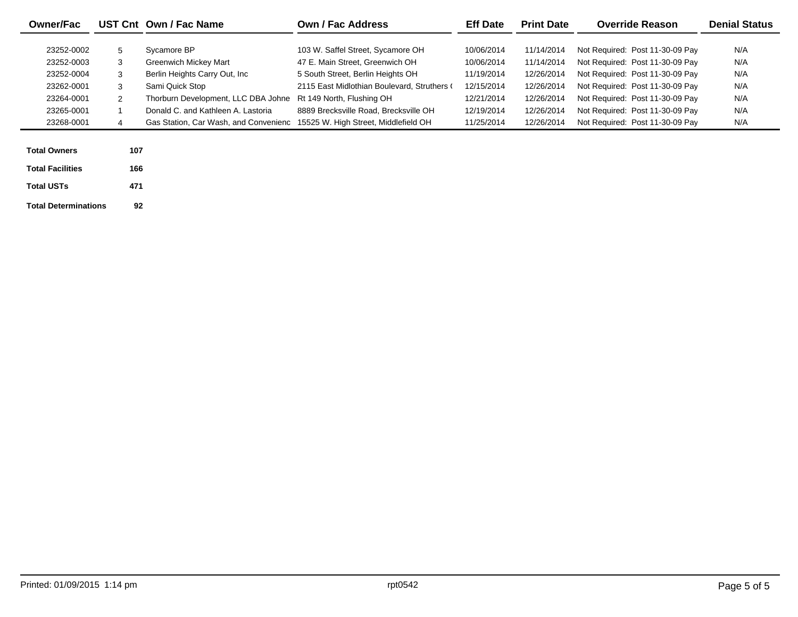| <b>Owner/Fac</b>    |              | UST Cnt Own / Fac Name                                                     | Own / Fac Address                           | <b>Eff Date</b> | <b>Print Date</b> | <b>Override Reason</b>          | <b>Denial Status</b> |
|---------------------|--------------|----------------------------------------------------------------------------|---------------------------------------------|-----------------|-------------------|---------------------------------|----------------------|
| 23252-0002          | 5            | Sycamore BP                                                                | 103 W. Saffel Street, Sycamore OH           | 10/06/2014      | 11/14/2014        | Not Required: Post 11-30-09 Pay | N/A                  |
| 23252-0003          | 3            | <b>Greenwich Mickey Mart</b>                                               | 47 E. Main Street. Greenwich OH             | 10/06/2014      | 11/14/2014        | Not Required: Post 11-30-09 Pay | N/A                  |
| 23252-0004          | 3            | Berlin Heights Carry Out, Inc.                                             | 5 South Street, Berlin Heights OH           | 11/19/2014      | 12/26/2014        | Not Required: Post 11-30-09 Pay | N/A                  |
| 23262-0001          | 3            | Sami Quick Stop                                                            | 2115 East Midlothian Boulevard, Struthers ( | 12/15/2014      | 12/26/2014        | Not Required: Post 11-30-09 Pay | N/A                  |
| 23264-0001          | $\mathbf{2}$ | Thorburn Development, LLC DBA Johne                                        | Rt 149 North, Flushing OH                   | 12/21/2014      | 12/26/2014        | Not Required: Post 11-30-09 Pay | N/A                  |
| 23265-0001          |              | Donald C. and Kathleen A. Lastoria                                         | 8889 Brecksville Road, Brecksville OH       | 12/19/2014      | 12/26/2014        | Not Required: Post 11-30-09 Pay | N/A                  |
| 23268-0001          |              | Gas Station, Car Wash, and Convenienc 15525 W. High Street, Middlefield OH |                                             | 11/25/2014      | 12/26/2014        | Not Required: Post 11-30-09 Pay | N/A                  |
|                     |              |                                                                            |                                             |                 |                   |                                 |                      |
| <b>Total Owners</b> | 107          |                                                                            |                                             |                 |                   |                                 |                      |

**Total Facilities**

**Total USTs**

**Total Determinations92**

**471**

**166**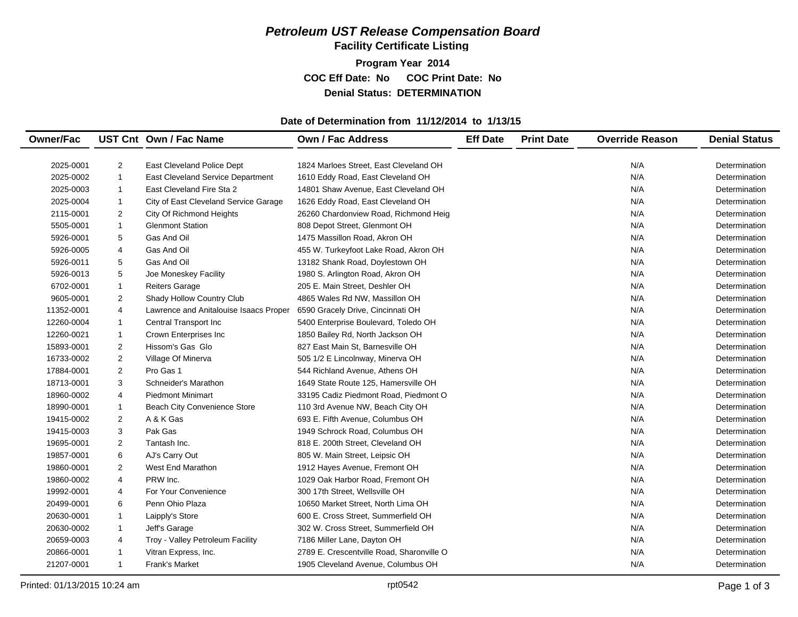# *Petroleum UST Release Compensation Board*

**Facility Certificate Listing**

**Program Year 2014 COC Eff Date: No COC Print Date: No Denial Status: DETERMINATION**

## **Date of Determination from 11/12/2014 to 1/13/15**

| <b>Owner/Fac</b> |                         | UST Cnt Own / Fac Name                 | <b>Own / Fac Address</b>                  | <b>Eff Date</b> | <b>Print Date</b> | <b>Override Reason</b> | <b>Denial Status</b> |
|------------------|-------------------------|----------------------------------------|-------------------------------------------|-----------------|-------------------|------------------------|----------------------|
|                  |                         |                                        |                                           |                 |                   |                        |                      |
| 2025-0001        | $\overline{2}$          | East Cleveland Police Dept             | 1824 Marloes Street, East Cleveland OH    |                 |                   | N/A                    | Determination        |
| 2025-0002        | $\mathbf{1}$            | East Cleveland Service Department      | 1610 Eddy Road, East Cleveland OH         |                 |                   | N/A                    | Determination        |
| 2025-0003        | $\mathbf{1}$            | East Cleveland Fire Sta 2              | 14801 Shaw Avenue, East Cleveland OH      |                 |                   | N/A                    | Determination        |
| 2025-0004        | $\mathbf{1}$            | City of East Cleveland Service Garage  | 1626 Eddy Road, East Cleveland OH         |                 |                   | N/A                    | Determination        |
| 2115-0001        | 2                       | City Of Richmond Heights               | 26260 Chardonview Road, Richmond Heig     |                 |                   | N/A                    | Determination        |
| 5505-0001        | $\mathbf{1}$            | <b>Glenmont Station</b>                | 808 Depot Street, Glenmont OH             |                 |                   | N/A                    | Determination        |
| 5926-0001        | 5                       | Gas And Oil                            | 1475 Massillon Road, Akron OH             |                 |                   | N/A                    | Determination        |
| 5926-0005        | 4                       | Gas And Oil                            | 455 W. Turkeyfoot Lake Road, Akron OH     |                 |                   | N/A                    | Determination        |
| 5926-0011        | 5                       | Gas And Oil                            | 13182 Shank Road, Doylestown OH           |                 |                   | N/A                    | Determination        |
| 5926-0013        | 5                       | Joe Moneskey Facility                  | 1980 S. Arlington Road, Akron OH          |                 |                   | N/A                    | Determination        |
| 6702-0001        | $\mathbf{1}$            | <b>Reiters Garage</b>                  | 205 E. Main Street, Deshler OH            |                 |                   | N/A                    | Determination        |
| 9605-0001        | 2                       | Shady Hollow Country Club              | 4865 Wales Rd NW, Massillon OH            |                 |                   | N/A                    | Determination        |
| 11352-0001       | 4                       | Lawrence and Anitalouise Isaacs Proper | 6590 Gracely Drive, Cincinnati OH         |                 |                   | N/A                    | Determination        |
| 12260-0004       | $\mathbf{1}$            | Central Transport Inc                  | 5400 Enterprise Boulevard, Toledo OH      |                 |                   | N/A                    | Determination        |
| 12260-0021       | $\mathbf{1}$            | Crown Enterprises Inc                  | 1850 Bailey Rd, North Jackson OH          |                 |                   | N/A                    | Determination        |
| 15893-0001       | 2                       | Hissom's Gas Glo                       | 827 East Main St, Barnesville OH          |                 |                   | N/A                    | Determination        |
| 16733-0002       | $\overline{\mathbf{c}}$ | Village Of Minerva                     | 505 1/2 E Lincolnway, Minerva OH          |                 |                   | N/A                    | Determination        |
| 17884-0001       | $\overline{\mathbf{c}}$ | Pro Gas 1                              | 544 Richland Avenue, Athens OH            |                 |                   | N/A                    | Determination        |
| 18713-0001       | 3                       | Schneider's Marathon                   | 1649 State Route 125, Hamersville OH      |                 |                   | N/A                    | Determination        |
| 18960-0002       | 4                       | <b>Piedmont Minimart</b>               | 33195 Cadiz Piedmont Road, Piedmont O     |                 |                   | N/A                    | Determination        |
| 18990-0001       | $\mathbf{1}$            | Beach City Convenience Store           | 110 3rd Avenue NW, Beach City OH          |                 |                   | N/A                    | Determination        |
| 19415-0002       | 2                       | A & K Gas                              | 693 E. Fifth Avenue, Columbus OH          |                 |                   | N/A                    | Determination        |
| 19415-0003       | 3                       | Pak Gas                                | 1949 Schrock Road, Columbus OH            |                 |                   | N/A                    | Determination        |
| 19695-0001       | 2                       | Tantash Inc.                           | 818 E. 200th Street, Cleveland OH         |                 |                   | N/A                    | Determination        |
| 19857-0001       | 6                       | AJ's Carry Out                         | 805 W. Main Street, Leipsic OH            |                 |                   | N/A                    | Determination        |
| 19860-0001       | $\overline{2}$          | <b>West End Marathon</b>               | 1912 Hayes Avenue, Fremont OH             |                 |                   | N/A                    | Determination        |
| 19860-0002       | 4                       | PRW Inc.                               | 1029 Oak Harbor Road, Fremont OH          |                 |                   | N/A                    | Determination        |
| 19992-0001       | 4                       | For Your Convenience                   | 300 17th Street, Wellsville OH            |                 |                   | N/A                    | Determination        |
| 20499-0001       | 6                       | Penn Ohio Plaza                        | 10650 Market Street, North Lima OH        |                 |                   | N/A                    | Determination        |
| 20630-0001       | $\mathbf{1}$            | Laipply's Store                        | 600 E. Cross Street, Summerfield OH       |                 |                   | N/A                    | Determination        |
| 20630-0002       | $\mathbf{1}$            | Jeff's Garage                          | 302 W. Cross Street, Summerfield OH       |                 |                   | N/A                    | Determination        |
| 20659-0003       | 4                       | Troy - Valley Petroleum Facility       | 7186 Miller Lane, Dayton OH               |                 |                   | N/A                    | Determination        |
| 20866-0001       | $\mathbf{1}$            | Vitran Express, Inc.                   | 2789 E. Crescentville Road, Sharonville O |                 |                   | N/A                    | Determination        |
| 21207-0001       | $\mathbf{1}$            | Frank's Market                         | 1905 Cleveland Avenue, Columbus OH        |                 |                   | N/A                    | Determination        |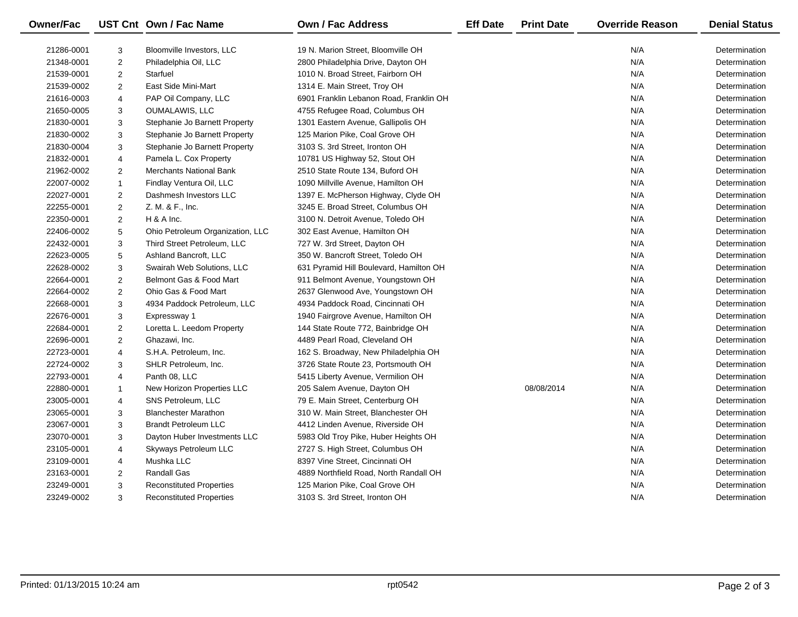| <b>Owner/Fac</b> |                | UST Cnt Own / Fac Name           | Own / Fac Address                       | <b>Eff Date</b> | <b>Print Date</b> | <b>Override Reason</b> | <b>Denial Status</b> |
|------------------|----------------|----------------------------------|-----------------------------------------|-----------------|-------------------|------------------------|----------------------|
| 21286-0001       | 3              | Bloomville Investors, LLC        | 19 N. Marion Street, Bloomville OH      |                 |                   | N/A                    | Determination        |
| 21348-0001       | $\overline{c}$ | Philadelphia Oil, LLC            | 2800 Philadelphia Drive, Dayton OH      |                 |                   | N/A                    | Determination        |
| 21539-0001       | $\overline{2}$ | Starfuel                         | 1010 N. Broad Street, Fairborn OH       |                 |                   | N/A                    | Determination        |
| 21539-0002       | 2              | East Side Mini-Mart              | 1314 E. Main Street, Troy OH            |                 |                   | N/A                    | Determination        |
| 21616-0003       | 4              | PAP Oil Company, LLC             | 6901 Franklin Lebanon Road, Franklin OH |                 |                   | N/A                    | Determination        |
| 21650-0005       | 3              | <b>OUMALAWIS, LLC</b>            | 4755 Refugee Road, Columbus OH          |                 |                   | N/A                    | Determination        |
| 21830-0001       | 3              | Stephanie Jo Barnett Property    | 1301 Eastern Avenue, Gallipolis OH      |                 |                   | N/A                    | Determination        |
| 21830-0002       | 3              | Stephanie Jo Barnett Property    | 125 Marion Pike, Coal Grove OH          |                 |                   | N/A                    | Determination        |
| 21830-0004       | 3              | Stephanie Jo Barnett Property    | 3103 S. 3rd Street, Ironton OH          |                 |                   | N/A                    | Determination        |
| 21832-0001       | 4              | Pamela L. Cox Property           | 10781 US Highway 52, Stout OH           |                 |                   | N/A                    | Determination        |
| 21962-0002       | 2              | <b>Merchants National Bank</b>   | 2510 State Route 134, Buford OH         |                 |                   | N/A                    | Determination        |
| 22007-0002       | $\mathbf{1}$   | Findlay Ventura Oil, LLC         | 1090 Millville Avenue, Hamilton OH      |                 |                   | N/A                    | Determination        |
| 22027-0001       | $\overline{2}$ | Dashmesh Investors LLC           | 1397 E. McPherson Highway, Clyde OH     |                 |                   | N/A                    | Determination        |
| 22255-0001       | 2              | Z. M. & F., Inc.                 | 3245 E. Broad Street, Columbus OH       |                 |                   | N/A                    | Determination        |
| 22350-0001       | $\overline{2}$ | $H$ & A Inc.                     | 3100 N. Detroit Avenue, Toledo OH       |                 |                   | N/A                    | Determination        |
| 22406-0002       | 5              | Ohio Petroleum Organization, LLC | 302 East Avenue, Hamilton OH            |                 |                   | N/A                    | Determination        |
| 22432-0001       | 3              | Third Street Petroleum, LLC      | 727 W. 3rd Street, Dayton OH            |                 |                   | N/A                    | Determination        |
| 22623-0005       | 5              | Ashland Bancroft, LLC            | 350 W. Bancroft Street, Toledo OH       |                 |                   | N/A                    | Determination        |
| 22628-0002       | 3              | Swairah Web Solutions, LLC       | 631 Pyramid Hill Boulevard, Hamilton OH |                 |                   | N/A                    | Determination        |
| 22664-0001       | 2              | Belmont Gas & Food Mart          | 911 Belmont Avenue, Youngstown OH       |                 |                   | N/A                    | Determination        |
| 22664-0002       | $\overline{c}$ | Ohio Gas & Food Mart             | 2637 Glenwood Ave, Youngstown OH        |                 |                   | N/A                    | Determination        |
| 22668-0001       | 3              | 4934 Paddock Petroleum, LLC      | 4934 Paddock Road, Cincinnati OH        |                 |                   | N/A                    | Determination        |
| 22676-0001       | 3              | Expressway 1                     | 1940 Fairgrove Avenue, Hamilton OH      |                 |                   | N/A                    | Determination        |
| 22684-0001       | $\overline{c}$ | Loretta L. Leedom Property       | 144 State Route 772, Bainbridge OH      |                 |                   | N/A                    | Determination        |
| 22696-0001       | $\overline{2}$ | Ghazawi, Inc.                    | 4489 Pearl Road, Cleveland OH           |                 |                   | N/A                    | Determination        |
| 22723-0001       | 4              | S.H.A. Petroleum, Inc.           | 162 S. Broadway, New Philadelphia OH    |                 |                   | N/A                    | Determination        |
| 22724-0002       | 3              | SHLR Petroleum, Inc.             | 3726 State Route 23, Portsmouth OH      |                 |                   | N/A                    | Determination        |
| 22793-0001       | 4              | Panth 08, LLC                    | 5415 Liberty Avenue, Vermilion OH       |                 |                   | N/A                    | Determination        |
| 22880-0001       | $\mathbf{1}$   | New Horizon Properties LLC       | 205 Salem Avenue, Dayton OH             |                 | 08/08/2014        | N/A                    | Determination        |
| 23005-0001       | 4              | SNS Petroleum, LLC               | 79 E. Main Street, Centerburg OH        |                 |                   | N/A                    | Determination        |
| 23065-0001       | 3              | <b>Blanchester Marathon</b>      | 310 W. Main Street, Blanchester OH      |                 |                   | N/A                    | Determination        |
| 23067-0001       | 3              | <b>Brandt Petroleum LLC</b>      | 4412 Linden Avenue, Riverside OH        |                 |                   | N/A                    | Determination        |
| 23070-0001       | 3              | Dayton Huber Investments LLC     | 5983 Old Troy Pike, Huber Heights OH    |                 |                   | N/A                    | Determination        |
| 23105-0001       | $\overline{4}$ | Skyways Petroleum LLC            | 2727 S. High Street, Columbus OH        |                 |                   | N/A                    | Determination        |
| 23109-0001       | 4              | Mushka LLC                       | 8397 Vine Street, Cincinnati OH         |                 |                   | N/A                    | Determination        |
| 23163-0001       | $\overline{2}$ | <b>Randall Gas</b>               | 4889 Northfield Road, North Randall OH  |                 |                   | N/A                    | Determination        |
| 23249-0001       | 3              | <b>Reconstituted Properties</b>  | 125 Marion Pike, Coal Grove OH          |                 |                   | N/A                    | Determination        |
| 23249-0002       | 3              | <b>Reconstituted Properties</b>  | 3103 S. 3rd Street, Ironton OH          |                 |                   | N/A                    | Determination        |
|                  |                |                                  |                                         |                 |                   |                        |                      |